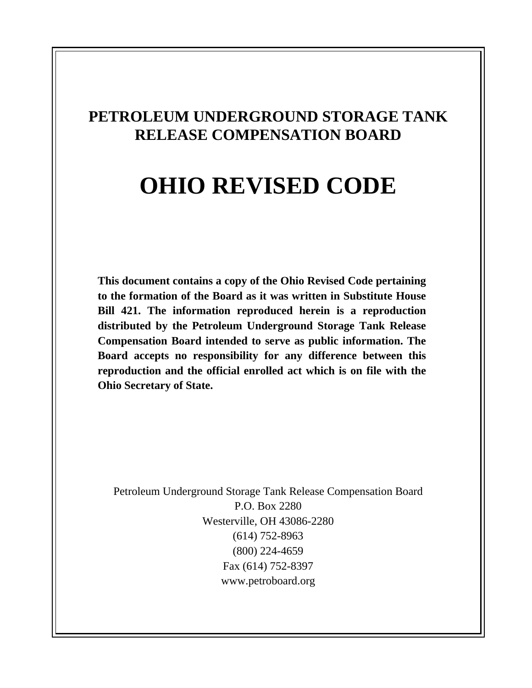# **PETROLEUM UNDERGROUND STORAGE TANK RELEASE COMPENSATION BOARD**

# **OHIO REVISED CODE**

**This document contains a copy of the Ohio Revised Code pertaining to the formation of the Board as it was written in Substitute House Bill 421. The information reproduced herein is a reproduction distributed by the Petroleum Underground Storage Tank Release Compensation Board intended to serve as public information. The Board accepts no responsibility for any difference between this reproduction and the official enrolled act which is on file with the Ohio Secretary of State.** 

Petroleum Underground Storage Tank Release Compensation Board P.O. Box 2280 Westerville, OH 43086-2280 (614) 752-8963 (800) 224-4659 Fax (614) 752-8397 www.petroboard.org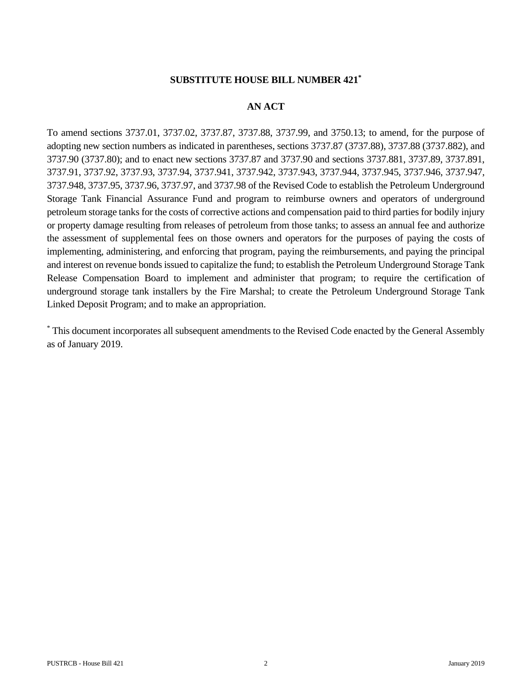# **SUBSTITUTE HOUSE BILL NUMBER 421\***

# **AN ACT**

To amend sections 3737.01, 3737.02, 3737.87, 3737.88, 3737.99, and 3750.13; to amend, for the purpose of adopting new section numbers as indicated in parentheses, sections 3737.87 (3737.88), 3737.88 (3737.882), and 3737.90 (3737.80); and to enact new sections 3737.87 and 3737.90 and sections 3737.881, 3737.89, 3737.891, 3737.91, 3737.92, 3737.93, 3737.94, 3737.941, 3737.942, 3737.943, 3737.944, 3737.945, 3737.946, 3737.947, 3737.948, 3737.95, 3737.96, 3737.97, and 3737.98 of the Revised Code to establish the Petroleum Underground Storage Tank Financial Assurance Fund and program to reimburse owners and operators of underground petroleum storage tanks for the costs of corrective actions and compensation paid to third parties for bodily injury or property damage resulting from releases of petroleum from those tanks; to assess an annual fee and authorize the assessment of supplemental fees on those owners and operators for the purposes of paying the costs of implementing, administering, and enforcing that program, paying the reimbursements, and paying the principal and interest on revenue bonds issued to capitalize the fund; to establish the Petroleum Underground Storage Tank Release Compensation Board to implement and administer that program; to require the certification of underground storage tank installers by the Fire Marshal; to create the Petroleum Underground Storage Tank Linked Deposit Program; and to make an appropriation.

\* This document incorporates all subsequent amendments to the Revised Code enacted by the General Assembly as of January 2019.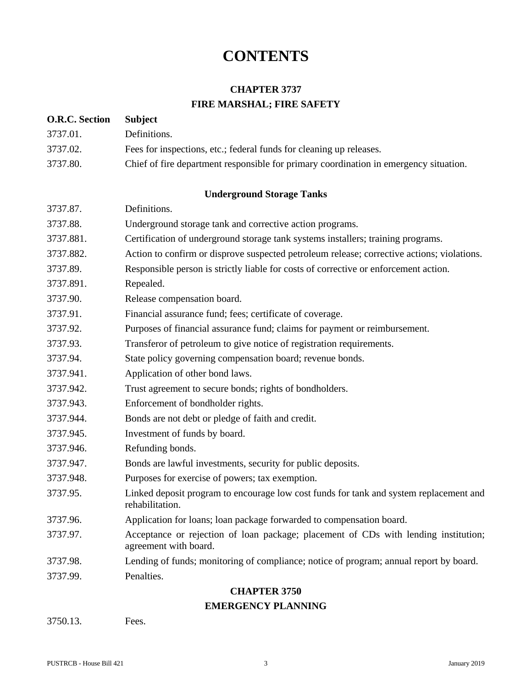# **CONTENTS**

# **CHAPTER 3737 FIRE MARSHAL; FIRE SAFETY**

| O.R.C. Section       | <b>Subject</b>                                                                                               |
|----------------------|--------------------------------------------------------------------------------------------------------------|
| 3737.01.             | Definitions.                                                                                                 |
| 3737.02.             | Fees for inspections, etc.; federal funds for cleaning up releases.                                          |
| 3737.80.             | Chief of fire department responsible for primary coordination in emergency situation.                        |
|                      |                                                                                                              |
|                      | <b>Underground Storage Tanks</b><br>Definitions.                                                             |
| 3737.87.<br>3737.88. |                                                                                                              |
| 3737.881.            | Underground storage tank and corrective action programs.                                                     |
|                      | Certification of underground storage tank systems installers; training programs.                             |
| 3737.882.            | Action to confirm or disprove suspected petroleum release; corrective actions; violations.                   |
| 3737.89.             | Responsible person is strictly liable for costs of corrective or enforcement action.                         |
| 3737.891.            | Repealed.                                                                                                    |
| 3737.90.             | Release compensation board.                                                                                  |
| 3737.91.             | Financial assurance fund; fees; certificate of coverage.                                                     |
| 3737.92.             | Purposes of financial assurance fund; claims for payment or reimbursement.                                   |
| 3737.93.             | Transferor of petroleum to give notice of registration requirements.                                         |
| 3737.94.             | State policy governing compensation board; revenue bonds.                                                    |
| 3737.941.            | Application of other bond laws.                                                                              |
| 3737.942.            | Trust agreement to secure bonds; rights of bondholders.                                                      |
| 3737.943.            | Enforcement of bondholder rights.                                                                            |
| 3737.944.            | Bonds are not debt or pledge of faith and credit.                                                            |
| 3737.945.            | Investment of funds by board.                                                                                |
| 3737.946.            | Refunding bonds.                                                                                             |
| 3737.947.            | Bonds are lawful investments, security for public deposits.                                                  |
| 3737.948.            | Purposes for exercise of powers; tax exemption.                                                              |
| 3737.95.             | Linked deposit program to encourage low cost funds for tank and system replacement and<br>rehabilitation.    |
| 3737.96.             | Application for loans; loan package forwarded to compensation board.                                         |
| 3737.97.             | Acceptance or rejection of loan package; placement of CDs with lending institution;<br>agreement with board. |
| 3737.98.             | Lending of funds; monitoring of compliance; notice of program; annual report by board.                       |
| 3737.99.             | Penalties.                                                                                                   |
| <b>CHAPTER 3750</b>  |                                                                                                              |

# **EMERGENCY PLANNING**

3750.13. Fees.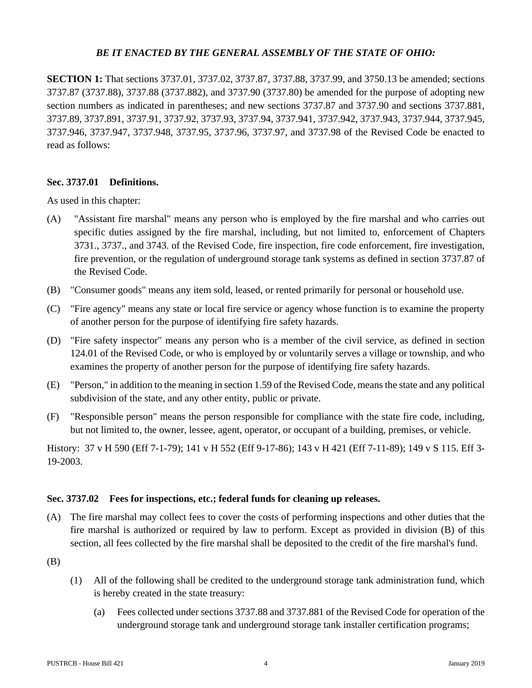# *BE IT ENACTED BY THE GENERAL ASSEMBLY OF THE STATE OF OHIO:*

**SECTION 1:** That sections 3737.01, 3737.02, 3737.87, 3737.88, 3737.99, and 3750.13 be amended; sections 3737.87 (3737.88), 3737.88 (3737.882), and 3737.90 (3737.80) be amended for the purpose of adopting new section numbers as indicated in parentheses; and new sections 3737.87 and 3737.90 and sections 3737.881, 3737.89, 3737.891, 3737.91, 3737.92, 3737.93, 3737.94, 3737.941, 3737.942, 3737.943, 3737.944, 3737.945, 3737.946, 3737.947, 3737.948, 3737.95, 3737.96, 3737.97, and 3737.98 of the Revised Code be enacted to read as follows:

#### **Sec. 3737.01 Definitions.**

As used in this chapter:

- (A) "Assistant fire marshal" means any person who is employed by the fire marshal and who carries out specific duties assigned by the fire marshal, including, but not limited to, enforcement of Chapters 3731., 3737., and 3743. of the Revised Code, fire inspection, fire code enforcement, fire investigation, fire prevention, or the regulation of underground storage tank systems as defined in section 3737.87 of the Revised Code.
- (B) "Consumer goods" means any item sold, leased, or rented primarily for personal or household use.
- (C) "Fire agency" means any state or local fire service or agency whose function is to examine the property of another person for the purpose of identifying fire safety hazards.
- (D) "Fire safety inspector" means any person who is a member of the civil service, as defined in section 124.01 of the Revised Code, or who is employed by or voluntarily serves a village or township, and who examines the property of another person for the purpose of identifying fire safety hazards.
- (E) "Person," in addition to the meaning in section 1.59 of the Revised Code, means the state and any political subdivision of the state, and any other entity, public or private.
- (F) "Responsible person" means the person responsible for compliance with the state fire code, including, but not limited to, the owner, lessee, agent, operator, or occupant of a building, premises, or vehicle.

History: 37 v H 590 (Eff 7-1-79); 141 v H 552 (Eff 9-17-86); 143 v H 421 (Eff 7-11-89); 149 v S 115. Eff 3- 19-2003.

# **Sec. 3737.02 Fees for inspections, etc.; federal funds for cleaning up releases.**

(A) The fire marshal may collect fees to cover the costs of performing inspections and other duties that the fire marshal is authorized or required by law to perform. Except as provided in division (B) of this section, all fees collected by the fire marshal shall be deposited to the credit of the fire marshal's fund.

(B)

- (1) All of the following shall be credited to the underground storage tank administration fund, which is hereby created in the state treasury:
	- (a) Fees collected under sections 3737.88 and 3737.881 of the Revised Code for operation of the underground storage tank and underground storage tank installer certification programs;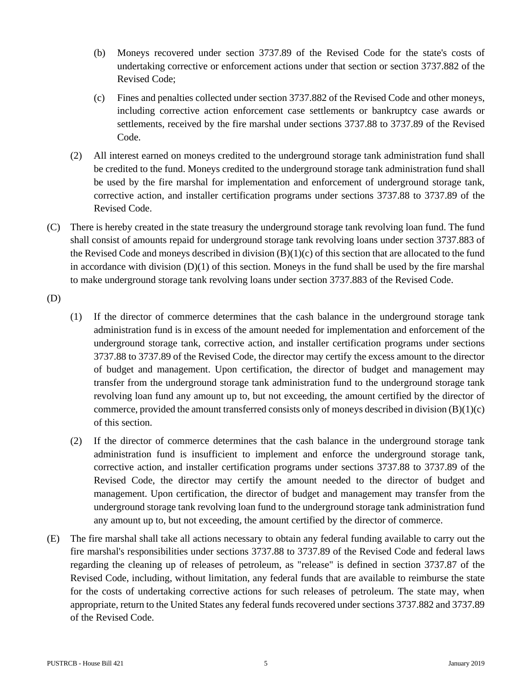- (b) Moneys recovered under section 3737.89 of the Revised Code for the state's costs of undertaking corrective or enforcement actions under that section or section 3737.882 of the Revised Code;
- (c) Fines and penalties collected under section 3737.882 of the Revised Code and other moneys, including corrective action enforcement case settlements or bankruptcy case awards or settlements, received by the fire marshal under sections 3737.88 to 3737.89 of the Revised Code.
- (2) All interest earned on moneys credited to the underground storage tank administration fund shall be credited to the fund. Moneys credited to the underground storage tank administration fund shall be used by the fire marshal for implementation and enforcement of underground storage tank, corrective action, and installer certification programs under sections 3737.88 to 3737.89 of the Revised Code.
- (C) There is hereby created in the state treasury the underground storage tank revolving loan fund. The fund shall consist of amounts repaid for underground storage tank revolving loans under section 3737.883 of the Revised Code and moneys described in division  $(B)(1)(c)$  of this section that are allocated to the fund in accordance with division  $(D)(1)$  of this section. Moneys in the fund shall be used by the fire marshal to make underground storage tank revolving loans under section 3737.883 of the Revised Code.
- (D)
- (1) If the director of commerce determines that the cash balance in the underground storage tank administration fund is in excess of the amount needed for implementation and enforcement of the underground storage tank, corrective action, and installer certification programs under sections 3737.88 to 3737.89 of the Revised Code, the director may certify the excess amount to the director of budget and management. Upon certification, the director of budget and management may transfer from the underground storage tank administration fund to the underground storage tank revolving loan fund any amount up to, but not exceeding, the amount certified by the director of commerce, provided the amount transferred consists only of moneys described in division  $(B)(1)(c)$ of this section.
- (2) If the director of commerce determines that the cash balance in the underground storage tank administration fund is insufficient to implement and enforce the underground storage tank, corrective action, and installer certification programs under sections 3737.88 to 3737.89 of the Revised Code, the director may certify the amount needed to the director of budget and management. Upon certification, the director of budget and management may transfer from the underground storage tank revolving loan fund to the underground storage tank administration fund any amount up to, but not exceeding, the amount certified by the director of commerce.
- (E) The fire marshal shall take all actions necessary to obtain any federal funding available to carry out the fire marshal's responsibilities under sections 3737.88 to 3737.89 of the Revised Code and federal laws regarding the cleaning up of releases of petroleum, as "release" is defined in section 3737.87 of the Revised Code, including, without limitation, any federal funds that are available to reimburse the state for the costs of undertaking corrective actions for such releases of petroleum. The state may, when appropriate, return to the United States any federal funds recovered under sections 3737.882 and 3737.89 of the Revised Code.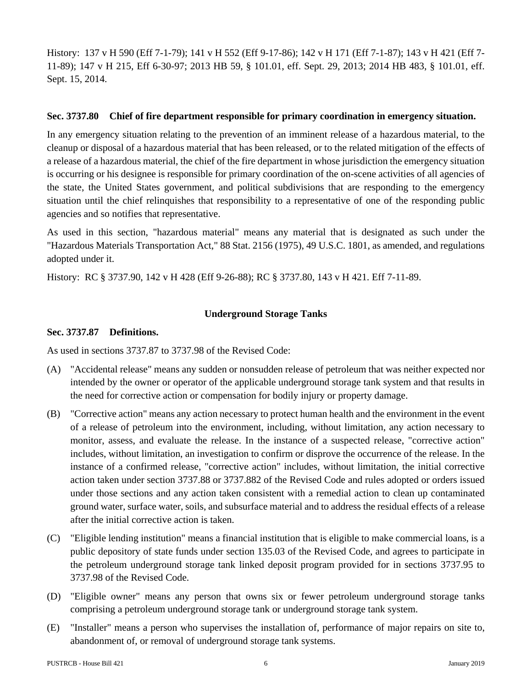History: 137 v H 590 (Eff 7-1-79); 141 v H 552 (Eff 9-17-86); 142 v H 171 (Eff 7-1-87); 143 v H 421 (Eff 7- 11-89); 147 v H 215, Eff 6-30-97; 2013 HB 59, § 101.01, eff. Sept. 29, 2013; 2014 HB 483, § 101.01, eff. Sept. 15, 2014.

#### **Sec. 3737.80 Chief of fire department responsible for primary coordination in emergency situation.**

In any emergency situation relating to the prevention of an imminent release of a hazardous material, to the cleanup or disposal of a hazardous material that has been released, or to the related mitigation of the effects of a release of a hazardous material, the chief of the fire department in whose jurisdiction the emergency situation is occurring or his designee is responsible for primary coordination of the on-scene activities of all agencies of the state, the United States government, and political subdivisions that are responding to the emergency situation until the chief relinquishes that responsibility to a representative of one of the responding public agencies and so notifies that representative.

As used in this section, "hazardous material" means any material that is designated as such under the "Hazardous Materials Transportation Act," 88 Stat. 2156 (1975), 49 U.S.C. 1801, as amended, and regulations adopted under it.

History: RC § 3737.90, 142 v H 428 (Eff 9-26-88); RC § 3737.80, 143 v H 421. Eff 7-11-89.

# **Underground Storage Tanks**

# **Sec. 3737.87 Definitions.**

As used in sections 3737.87 to 3737.98 of the Revised Code:

- (A) "Accidental release" means any sudden or nonsudden release of petroleum that was neither expected nor intended by the owner or operator of the applicable underground storage tank system and that results in the need for corrective action or compensation for bodily injury or property damage.
- (B) "Corrective action" means any action necessary to protect human health and the environment in the event of a release of petroleum into the environment, including, without limitation, any action necessary to monitor, assess, and evaluate the release. In the instance of a suspected release, "corrective action" includes, without limitation, an investigation to confirm or disprove the occurrence of the release. In the instance of a confirmed release, "corrective action" includes, without limitation, the initial corrective action taken under section 3737.88 or 3737.882 of the Revised Code and rules adopted or orders issued under those sections and any action taken consistent with a remedial action to clean up contaminated ground water, surface water, soils, and subsurface material and to address the residual effects of a release after the initial corrective action is taken.
- (C) "Eligible lending institution" means a financial institution that is eligible to make commercial loans, is a public depository of state funds under section 135.03 of the Revised Code, and agrees to participate in the petroleum underground storage tank linked deposit program provided for in sections 3737.95 to 3737.98 of the Revised Code.
- (D) "Eligible owner" means any person that owns six or fewer petroleum underground storage tanks comprising a petroleum underground storage tank or underground storage tank system.
- (E) "Installer" means a person who supervises the installation of, performance of major repairs on site to, abandonment of, or removal of underground storage tank systems.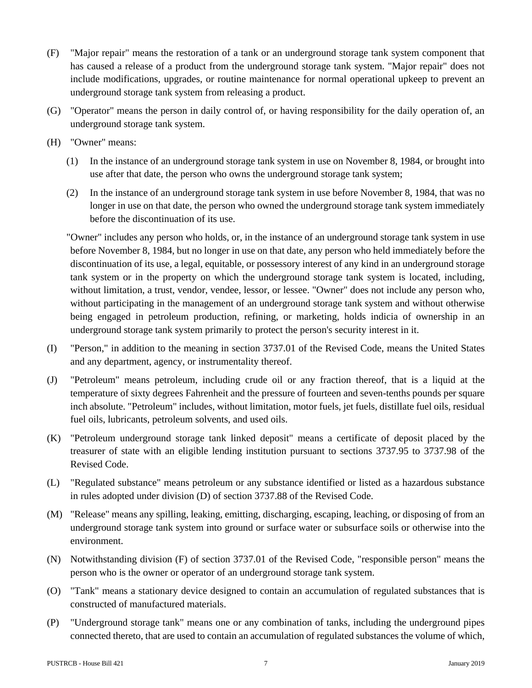- (F) "Major repair" means the restoration of a tank or an underground storage tank system component that has caused a release of a product from the underground storage tank system. "Major repair" does not include modifications, upgrades, or routine maintenance for normal operational upkeep to prevent an underground storage tank system from releasing a product.
- (G) "Operator" means the person in daily control of, or having responsibility for the daily operation of, an underground storage tank system.
- (H) "Owner" means:
	- (1) In the instance of an underground storage tank system in use on November 8, 1984, or brought into use after that date, the person who owns the underground storage tank system;
	- (2) In the instance of an underground storage tank system in use before November 8, 1984, that was no longer in use on that date, the person who owned the underground storage tank system immediately before the discontinuation of its use.

"Owner" includes any person who holds, or, in the instance of an underground storage tank system in use before November 8, 1984, but no longer in use on that date, any person who held immediately before the discontinuation of its use, a legal, equitable, or possessory interest of any kind in an underground storage tank system or in the property on which the underground storage tank system is located, including, without limitation, a trust, vendor, vendee, lessor, or lessee. "Owner" does not include any person who, without participating in the management of an underground storage tank system and without otherwise being engaged in petroleum production, refining, or marketing, holds indicia of ownership in an underground storage tank system primarily to protect the person's security interest in it.

- (I) "Person," in addition to the meaning in section 3737.01 of the Revised Code, means the United States and any department, agency, or instrumentality thereof.
- (J) "Petroleum" means petroleum, including crude oil or any fraction thereof, that is a liquid at the temperature of sixty degrees Fahrenheit and the pressure of fourteen and seven-tenths pounds per square inch absolute. "Petroleum" includes, without limitation, motor fuels, jet fuels, distillate fuel oils, residual fuel oils, lubricants, petroleum solvents, and used oils.
- (K) "Petroleum underground storage tank linked deposit" means a certificate of deposit placed by the treasurer of state with an eligible lending institution pursuant to sections 3737.95 to 3737.98 of the Revised Code.
- (L) "Regulated substance" means petroleum or any substance identified or listed as a hazardous substance in rules adopted under division (D) of section 3737.88 of the Revised Code.
- (M) "Release" means any spilling, leaking, emitting, discharging, escaping, leaching, or disposing of from an underground storage tank system into ground or surface water or subsurface soils or otherwise into the environment.
- (N) Notwithstanding division (F) of section 3737.01 of the Revised Code, "responsible person" means the person who is the owner or operator of an underground storage tank system.
- (O) "Tank" means a stationary device designed to contain an accumulation of regulated substances that is constructed of manufactured materials.
- (P) "Underground storage tank" means one or any combination of tanks, including the underground pipes connected thereto, that are used to contain an accumulation of regulated substances the volume of which,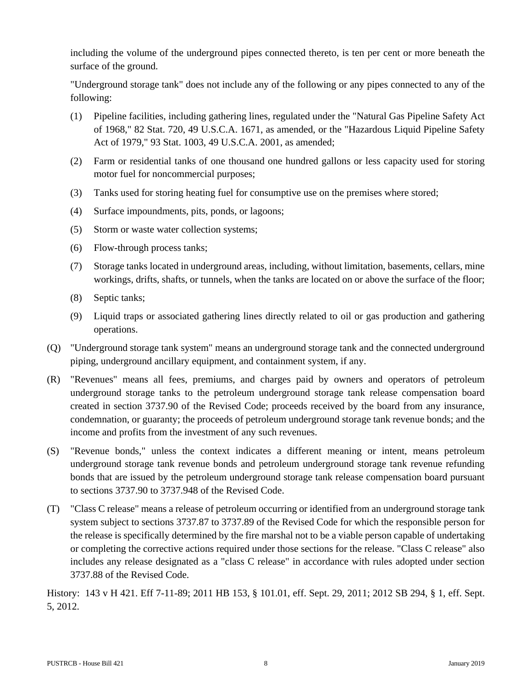including the volume of the underground pipes connected thereto, is ten per cent or more beneath the surface of the ground.

"Underground storage tank" does not include any of the following or any pipes connected to any of the following:

- (1) Pipeline facilities, including gathering lines, regulated under the "Natural Gas Pipeline Safety Act of 1968," 82 Stat. 720, 49 U.S.C.A. 1671, as amended, or the "Hazardous Liquid Pipeline Safety Act of 1979," 93 Stat. 1003, 49 U.S.C.A. 2001, as amended;
- (2) Farm or residential tanks of one thousand one hundred gallons or less capacity used for storing motor fuel for noncommercial purposes;
- (3) Tanks used for storing heating fuel for consumptive use on the premises where stored;
- (4) Surface impoundments, pits, ponds, or lagoons;
- (5) Storm or waste water collection systems;
- (6) Flow-through process tanks;
- (7) Storage tanks located in underground areas, including, without limitation, basements, cellars, mine workings, drifts, shafts, or tunnels, when the tanks are located on or above the surface of the floor;
- (8) Septic tanks;
- (9) Liquid traps or associated gathering lines directly related to oil or gas production and gathering operations.
- (Q) "Underground storage tank system" means an underground storage tank and the connected underground piping, underground ancillary equipment, and containment system, if any.
- (R) "Revenues" means all fees, premiums, and charges paid by owners and operators of petroleum underground storage tanks to the petroleum underground storage tank release compensation board created in section 3737.90 of the Revised Code; proceeds received by the board from any insurance, condemnation, or guaranty; the proceeds of petroleum underground storage tank revenue bonds; and the income and profits from the investment of any such revenues.
- (S) "Revenue bonds," unless the context indicates a different meaning or intent, means petroleum underground storage tank revenue bonds and petroleum underground storage tank revenue refunding bonds that are issued by the petroleum underground storage tank release compensation board pursuant to sections 3737.90 to 3737.948 of the Revised Code.
- (T) "Class C release" means a release of petroleum occurring or identified from an underground storage tank system subject to sections 3737.87 to 3737.89 of the Revised Code for which the responsible person for the release is specifically determined by the fire marshal not to be a viable person capable of undertaking or completing the corrective actions required under those sections for the release. "Class C release" also includes any release designated as a "class C release" in accordance with rules adopted under section 3737.88 of the Revised Code.

History: 143 v H 421. Eff 7-11-89; 2011 HB 153, § 101.01, eff. Sept. 29, 2011; 2012 SB 294, § 1, eff. Sept. 5, 2012.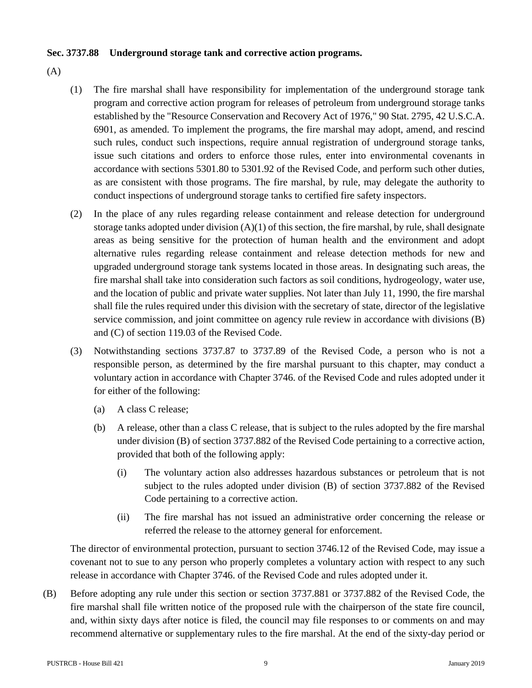#### **Sec. 3737.88 Underground storage tank and corrective action programs.**

 $(A)$ 

- (1) The fire marshal shall have responsibility for implementation of the underground storage tank program and corrective action program for releases of petroleum from underground storage tanks established by the "Resource Conservation and Recovery Act of 1976," 90 Stat. 2795, 42 U.S.C.A. 6901, as amended. To implement the programs, the fire marshal may adopt, amend, and rescind such rules, conduct such inspections, require annual registration of underground storage tanks, issue such citations and orders to enforce those rules, enter into environmental covenants in accordance with sections 5301.80 to 5301.92 of the Revised Code, and perform such other duties, as are consistent with those programs. The fire marshal, by rule, may delegate the authority to conduct inspections of underground storage tanks to certified fire safety inspectors.
- (2) In the place of any rules regarding release containment and release detection for underground storage tanks adopted under division  $(A)(1)$  of this section, the fire marshal, by rule, shall designate areas as being sensitive for the protection of human health and the environment and adopt alternative rules regarding release containment and release detection methods for new and upgraded underground storage tank systems located in those areas. In designating such areas, the fire marshal shall take into consideration such factors as soil conditions, hydrogeology, water use, and the location of public and private water supplies. Not later than July 11, 1990, the fire marshal shall file the rules required under this division with the secretary of state, director of the legislative service commission, and joint committee on agency rule review in accordance with divisions (B) and (C) of section 119.03 of the Revised Code.
- (3) Notwithstanding sections 3737.87 to 3737.89 of the Revised Code, a person who is not a responsible person, as determined by the fire marshal pursuant to this chapter, may conduct a voluntary action in accordance with Chapter 3746. of the Revised Code and rules adopted under it for either of the following:
	- (a) A class C release;
	- (b) A release, other than a class C release, that is subject to the rules adopted by the fire marshal under division (B) of section 3737.882 of the Revised Code pertaining to a corrective action, provided that both of the following apply:
		- (i) The voluntary action also addresses hazardous substances or petroleum that is not subject to the rules adopted under division (B) of section 3737.882 of the Revised Code pertaining to a corrective action.
		- (ii) The fire marshal has not issued an administrative order concerning the release or referred the release to the attorney general for enforcement.

The director of environmental protection, pursuant to section 3746.12 of the Revised Code, may issue a covenant not to sue to any person who properly completes a voluntary action with respect to any such release in accordance with Chapter 3746. of the Revised Code and rules adopted under it.

(B) Before adopting any rule under this section or section 3737.881 or 3737.882 of the Revised Code, the fire marshal shall file written notice of the proposed rule with the chairperson of the state fire council, and, within sixty days after notice is filed, the council may file responses to or comments on and may recommend alternative or supplementary rules to the fire marshal. At the end of the sixty-day period or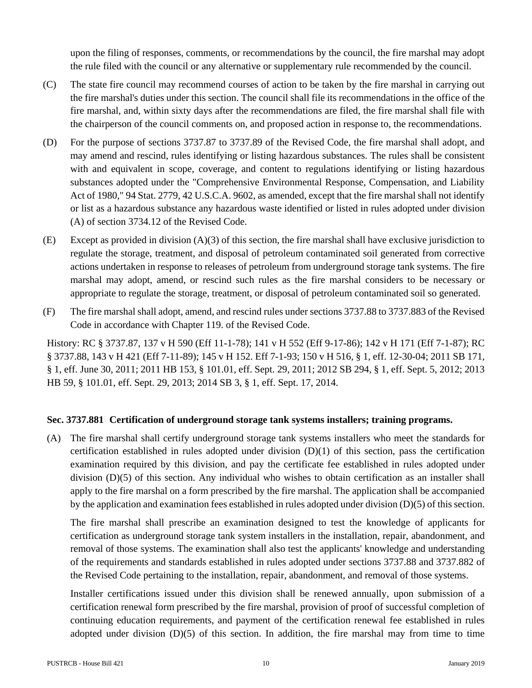upon the filing of responses, comments, or recommendations by the council, the fire marshal may adopt the rule filed with the council or any alternative or supplementary rule recommended by the council.

- (C) The state fire council may recommend courses of action to be taken by the fire marshal in carrying out the fire marshal's duties under this section. The council shall file its recommendations in the office of the fire marshal, and, within sixty days after the recommendations are filed, the fire marshal shall file with the chairperson of the council comments on, and proposed action in response to, the recommendations.
- (D) For the purpose of sections 3737.87 to 3737.89 of the Revised Code, the fire marshal shall adopt, and may amend and rescind, rules identifying or listing hazardous substances. The rules shall be consistent with and equivalent in scope, coverage, and content to regulations identifying or listing hazardous substances adopted under the "Comprehensive Environmental Response, Compensation, and Liability Act of 1980," 94 Stat. 2779, 42 U.S.C.A. 9602, as amended, except that the fire marshal shall not identify or list as a hazardous substance any hazardous waste identified or listed in rules adopted under division (A) of section 3734.12 of the Revised Code.
- (E) Except as provided in division (A)(3) of this section, the fire marshal shall have exclusive jurisdiction to regulate the storage, treatment, and disposal of petroleum contaminated soil generated from corrective actions undertaken in response to releases of petroleum from underground storage tank systems. The fire marshal may adopt, amend, or rescind such rules as the fire marshal considers to be necessary or appropriate to regulate the storage, treatment, or disposal of petroleum contaminated soil so generated.
- (F) The fire marshal shall adopt, amend, and rescind rules under sections 3737.88 to 3737.883 of the Revised Code in accordance with Chapter 119. of the Revised Code.

History: RC § 3737.87, 137 v H 590 (Eff 11-1-78); 141 v H 552 (Eff 9-17-86); 142 v H 171 (Eff 7-1-87); RC § 3737.88, 143 v H 421 (Eff 7-11-89); 145 v H 152. Eff 7-1-93; 150 v H 516, § 1, eff. 12-30-04; 2011 SB 171, § 1, eff. June 30, 2011; 2011 HB 153, § 101.01, eff. Sept. 29, 2011; 2012 SB 294, § 1, eff. Sept. 5, 2012; 2013 HB 59, § 101.01, eff. Sept. 29, 2013; 2014 SB 3, § 1, eff. Sept. 17, 2014.

# **Sec. 3737.881 Certification of underground storage tank systems installers; training programs.**

(A) The fire marshal shall certify underground storage tank systems installers who meet the standards for certification established in rules adopted under division (D)(1) of this section, pass the certification examination required by this division, and pay the certificate fee established in rules adopted under division (D)(5) of this section. Any individual who wishes to obtain certification as an installer shall apply to the fire marshal on a form prescribed by the fire marshal. The application shall be accompanied by the application and examination fees established in rules adopted under division  $(D)(5)$  of this section.

The fire marshal shall prescribe an examination designed to test the knowledge of applicants for certification as underground storage tank system installers in the installation, repair, abandonment, and removal of those systems. The examination shall also test the applicants' knowledge and understanding of the requirements and standards established in rules adopted under sections 3737.88 and 3737.882 of the Revised Code pertaining to the installation, repair, abandonment, and removal of those systems.

Installer certifications issued under this division shall be renewed annually, upon submission of a certification renewal form prescribed by the fire marshal, provision of proof of successful completion of continuing education requirements, and payment of the certification renewal fee established in rules adopted under division (D)(5) of this section. In addition, the fire marshal may from time to time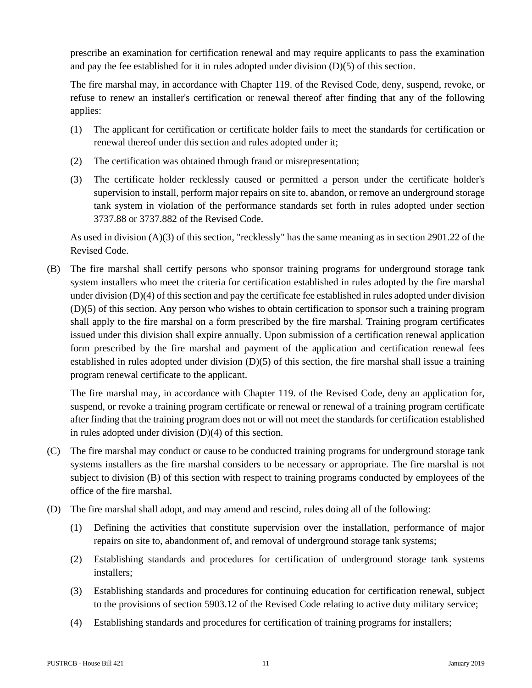prescribe an examination for certification renewal and may require applicants to pass the examination and pay the fee established for it in rules adopted under division  $(D)(5)$  of this section.

The fire marshal may, in accordance with Chapter 119. of the Revised Code, deny, suspend, revoke, or refuse to renew an installer's certification or renewal thereof after finding that any of the following applies:

- (1) The applicant for certification or certificate holder fails to meet the standards for certification or renewal thereof under this section and rules adopted under it;
- (2) The certification was obtained through fraud or misrepresentation;
- (3) The certificate holder recklessly caused or permitted a person under the certificate holder's supervision to install, perform major repairs on site to, abandon, or remove an underground storage tank system in violation of the performance standards set forth in rules adopted under section 3737.88 or 3737.882 of the Revised Code.

As used in division (A)(3) of this section, "recklessly" has the same meaning as in section 2901.22 of the Revised Code.

(B) The fire marshal shall certify persons who sponsor training programs for underground storage tank system installers who meet the criteria for certification established in rules adopted by the fire marshal under division (D)(4) of this section and pay the certificate fee established in rules adopted under division (D)(5) of this section. Any person who wishes to obtain certification to sponsor such a training program shall apply to the fire marshal on a form prescribed by the fire marshal. Training program certificates issued under this division shall expire annually. Upon submission of a certification renewal application form prescribed by the fire marshal and payment of the application and certification renewal fees established in rules adopted under division (D)(5) of this section, the fire marshal shall issue a training program renewal certificate to the applicant.

The fire marshal may, in accordance with Chapter 119. of the Revised Code, deny an application for, suspend, or revoke a training program certificate or renewal or renewal of a training program certificate after finding that the training program does not or will not meet the standards for certification established in rules adopted under division (D)(4) of this section.

- (C) The fire marshal may conduct or cause to be conducted training programs for underground storage tank systems installers as the fire marshal considers to be necessary or appropriate. The fire marshal is not subject to division (B) of this section with respect to training programs conducted by employees of the office of the fire marshal.
- (D) The fire marshal shall adopt, and may amend and rescind, rules doing all of the following:
	- (1) Defining the activities that constitute supervision over the installation, performance of major repairs on site to, abandonment of, and removal of underground storage tank systems;
	- (2) Establishing standards and procedures for certification of underground storage tank systems installers;
	- (3) Establishing standards and procedures for continuing education for certification renewal, subject to the provisions of section 5903.12 of the Revised Code relating to active duty military service;
	- (4) Establishing standards and procedures for certification of training programs for installers;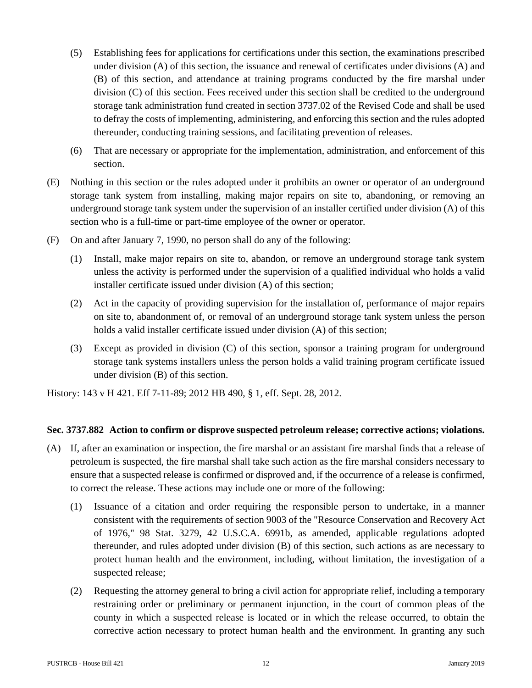- (5) Establishing fees for applications for certifications under this section, the examinations prescribed under division (A) of this section, the issuance and renewal of certificates under divisions (A) and (B) of this section, and attendance at training programs conducted by the fire marshal under division (C) of this section. Fees received under this section shall be credited to the underground storage tank administration fund created in section 3737.02 of the Revised Code and shall be used to defray the costs of implementing, administering, and enforcing this section and the rules adopted thereunder, conducting training sessions, and facilitating prevention of releases.
- (6) That are necessary or appropriate for the implementation, administration, and enforcement of this section.
- (E) Nothing in this section or the rules adopted under it prohibits an owner or operator of an underground storage tank system from installing, making major repairs on site to, abandoning, or removing an underground storage tank system under the supervision of an installer certified under division (A) of this section who is a full-time or part-time employee of the owner or operator.
- (F) On and after January 7, 1990, no person shall do any of the following:
	- (1) Install, make major repairs on site to, abandon, or remove an underground storage tank system unless the activity is performed under the supervision of a qualified individual who holds a valid installer certificate issued under division (A) of this section;
	- (2) Act in the capacity of providing supervision for the installation of, performance of major repairs on site to, abandonment of, or removal of an underground storage tank system unless the person holds a valid installer certificate issued under division (A) of this section;
	- (3) Except as provided in division (C) of this section, sponsor a training program for underground storage tank systems installers unless the person holds a valid training program certificate issued under division (B) of this section.

History: 143 v H 421. Eff 7-11-89; 2012 HB 490, § 1, eff. Sept. 28, 2012.

# **Sec. 3737.882 Action to confirm or disprove suspected petroleum release; corrective actions; violations.**

- (A) If, after an examination or inspection, the fire marshal or an assistant fire marshal finds that a release of petroleum is suspected, the fire marshal shall take such action as the fire marshal considers necessary to ensure that a suspected release is confirmed or disproved and, if the occurrence of a release is confirmed, to correct the release. These actions may include one or more of the following:
	- (1) Issuance of a citation and order requiring the responsible person to undertake, in a manner consistent with the requirements of section 9003 of the "Resource Conservation and Recovery Act of 1976," 98 Stat. 3279, 42 U.S.C.A. 6991b, as amended, applicable regulations adopted thereunder, and rules adopted under division (B) of this section, such actions as are necessary to protect human health and the environment, including, without limitation, the investigation of a suspected release;
	- (2) Requesting the attorney general to bring a civil action for appropriate relief, including a temporary restraining order or preliminary or permanent injunction, in the court of common pleas of the county in which a suspected release is located or in which the release occurred, to obtain the corrective action necessary to protect human health and the environment. In granting any such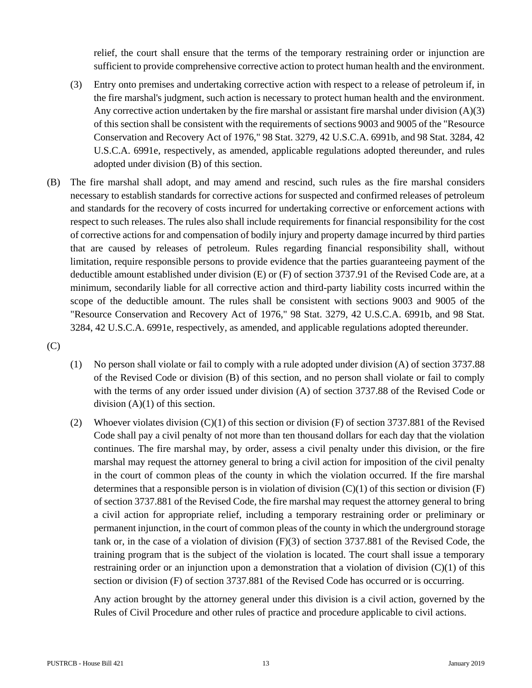relief, the court shall ensure that the terms of the temporary restraining order or injunction are sufficient to provide comprehensive corrective action to protect human health and the environment.

- (3) Entry onto premises and undertaking corrective action with respect to a release of petroleum if, in the fire marshal's judgment, such action is necessary to protect human health and the environment. Any corrective action undertaken by the fire marshal or assistant fire marshal under division  $(A)(3)$ of this section shall be consistent with the requirements of sections 9003 and 9005 of the "Resource Conservation and Recovery Act of 1976," 98 Stat. 3279, 42 U.S.C.A. 6991b, and 98 Stat. 3284, 42 U.S.C.A. 6991e, respectively, as amended, applicable regulations adopted thereunder, and rules adopted under division (B) of this section.
- (B) The fire marshal shall adopt, and may amend and rescind, such rules as the fire marshal considers necessary to establish standards for corrective actions for suspected and confirmed releases of petroleum and standards for the recovery of costs incurred for undertaking corrective or enforcement actions with respect to such releases. The rules also shall include requirements for financial responsibility for the cost of corrective actions for and compensation of bodily injury and property damage incurred by third parties that are caused by releases of petroleum. Rules regarding financial responsibility shall, without limitation, require responsible persons to provide evidence that the parties guaranteeing payment of the deductible amount established under division (E) or (F) of section 3737.91 of the Revised Code are, at a minimum, secondarily liable for all corrective action and third-party liability costs incurred within the scope of the deductible amount. The rules shall be consistent with sections 9003 and 9005 of the "Resource Conservation and Recovery Act of 1976," 98 Stat. 3279, 42 U.S.C.A. 6991b, and 98 Stat. 3284, 42 U.S.C.A. 6991e, respectively, as amended, and applicable regulations adopted thereunder.

 $(C)$ 

- (1) No person shall violate or fail to comply with a rule adopted under division (A) of section 3737.88 of the Revised Code or division (B) of this section, and no person shall violate or fail to comply with the terms of any order issued under division (A) of section 3737.88 of the Revised Code or division  $(A)(1)$  of this section.
- (2) Whoever violates division  $(C)(1)$  of this section or division  $(F)$  of section 3737.881 of the Revised Code shall pay a civil penalty of not more than ten thousand dollars for each day that the violation continues. The fire marshal may, by order, assess a civil penalty under this division, or the fire marshal may request the attorney general to bring a civil action for imposition of the civil penalty in the court of common pleas of the county in which the violation occurred. If the fire marshal determines that a responsible person is in violation of division  $(C)(1)$  of this section or division  $(F)$ of section 3737.881 of the Revised Code, the fire marshal may request the attorney general to bring a civil action for appropriate relief, including a temporary restraining order or preliminary or permanent injunction, in the court of common pleas of the county in which the underground storage tank or, in the case of a violation of division (F)(3) of section 3737.881 of the Revised Code, the training program that is the subject of the violation is located. The court shall issue a temporary restraining order or an injunction upon a demonstration that a violation of division (C)(1) of this section or division (F) of section 3737.881 of the Revised Code has occurred or is occurring.

Any action brought by the attorney general under this division is a civil action, governed by the Rules of Civil Procedure and other rules of practice and procedure applicable to civil actions.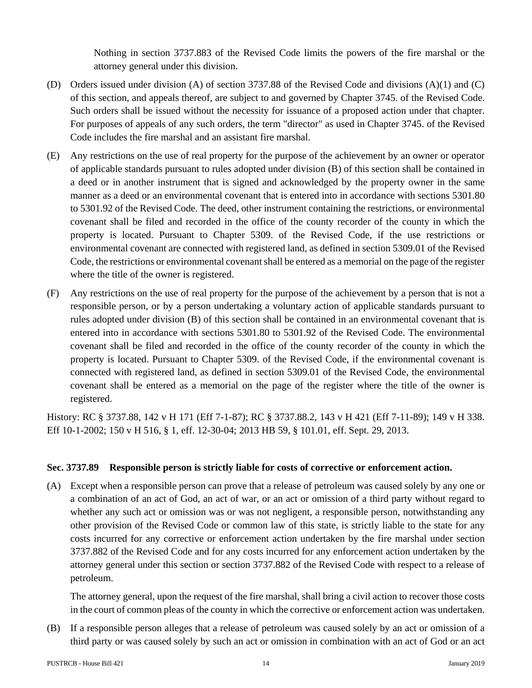Nothing in section 3737.883 of the Revised Code limits the powers of the fire marshal or the attorney general under this division.

- (D) Orders issued under division (A) of section 3737.88 of the Revised Code and divisions (A)(1) and (C) of this section, and appeals thereof, are subject to and governed by Chapter 3745. of the Revised Code. Such orders shall be issued without the necessity for issuance of a proposed action under that chapter. For purposes of appeals of any such orders, the term "director" as used in Chapter 3745. of the Revised Code includes the fire marshal and an assistant fire marshal.
- (E) Any restrictions on the use of real property for the purpose of the achievement by an owner or operator of applicable standards pursuant to rules adopted under division (B) of this section shall be contained in a deed or in another instrument that is signed and acknowledged by the property owner in the same manner as a deed or an environmental covenant that is entered into in accordance with sections 5301.80 to 5301.92 of the Revised Code. The deed, other instrument containing the restrictions, or environmental covenant shall be filed and recorded in the office of the county recorder of the county in which the property is located. Pursuant to Chapter 5309. of the Revised Code, if the use restrictions or environmental covenant are connected with registered land, as defined in section 5309.01 of the Revised Code, the restrictions or environmental covenant shall be entered as a memorial on the page of the register where the title of the owner is registered.
- (F) Any restrictions on the use of real property for the purpose of the achievement by a person that is not a responsible person, or by a person undertaking a voluntary action of applicable standards pursuant to rules adopted under division (B) of this section shall be contained in an environmental covenant that is entered into in accordance with sections 5301.80 to 5301.92 of the Revised Code. The environmental covenant shall be filed and recorded in the office of the county recorder of the county in which the property is located. Pursuant to Chapter 5309. of the Revised Code, if the environmental covenant is connected with registered land, as defined in section 5309.01 of the Revised Code, the environmental covenant shall be entered as a memorial on the page of the register where the title of the owner is registered.

History: RC § 3737.88, 142 v H 171 (Eff 7-1-87); RC § 3737.88.2, 143 v H 421 (Eff 7-11-89); 149 v H 338. Eff 10-1-2002; 150 v H 516, § 1, eff. 12-30-04; 2013 HB 59, § 101.01, eff. Sept. 29, 2013.

#### **Sec. 3737.89 Responsible person is strictly liable for costs of corrective or enforcement action.**

(A) Except when a responsible person can prove that a release of petroleum was caused solely by any one or a combination of an act of God, an act of war, or an act or omission of a third party without regard to whether any such act or omission was or was not negligent, a responsible person, notwithstanding any other provision of the Revised Code or common law of this state, is strictly liable to the state for any costs incurred for any corrective or enforcement action undertaken by the fire marshal under section 3737.882 of the Revised Code and for any costs incurred for any enforcement action undertaken by the attorney general under this section or section 3737.882 of the Revised Code with respect to a release of petroleum.

The attorney general, upon the request of the fire marshal, shall bring a civil action to recover those costs in the court of common pleas of the county in which the corrective or enforcement action was undertaken.

(B) If a responsible person alleges that a release of petroleum was caused solely by an act or omission of a third party or was caused solely by such an act or omission in combination with an act of God or an act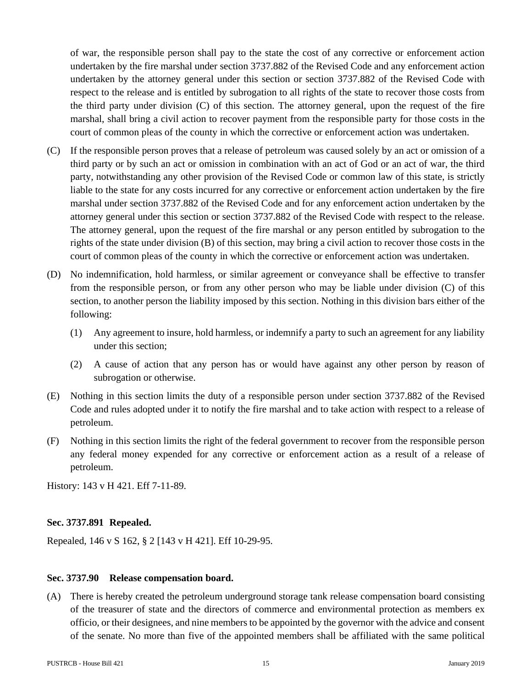of war, the responsible person shall pay to the state the cost of any corrective or enforcement action undertaken by the fire marshal under section 3737.882 of the Revised Code and any enforcement action undertaken by the attorney general under this section or section 3737.882 of the Revised Code with respect to the release and is entitled by subrogation to all rights of the state to recover those costs from the third party under division (C) of this section. The attorney general, upon the request of the fire marshal, shall bring a civil action to recover payment from the responsible party for those costs in the court of common pleas of the county in which the corrective or enforcement action was undertaken.

- (C) If the responsible person proves that a release of petroleum was caused solely by an act or omission of a third party or by such an act or omission in combination with an act of God or an act of war, the third party, notwithstanding any other provision of the Revised Code or common law of this state, is strictly liable to the state for any costs incurred for any corrective or enforcement action undertaken by the fire marshal under section 3737.882 of the Revised Code and for any enforcement action undertaken by the attorney general under this section or section 3737.882 of the Revised Code with respect to the release. The attorney general, upon the request of the fire marshal or any person entitled by subrogation to the rights of the state under division (B) of this section, may bring a civil action to recover those costs in the court of common pleas of the county in which the corrective or enforcement action was undertaken.
- (D) No indemnification, hold harmless, or similar agreement or conveyance shall be effective to transfer from the responsible person, or from any other person who may be liable under division (C) of this section, to another person the liability imposed by this section. Nothing in this division bars either of the following:
	- (1) Any agreement to insure, hold harmless, or indemnify a party to such an agreement for any liability under this section;
	- (2) A cause of action that any person has or would have against any other person by reason of subrogation or otherwise.
- (E) Nothing in this section limits the duty of a responsible person under section 3737.882 of the Revised Code and rules adopted under it to notify the fire marshal and to take action with respect to a release of petroleum.
- (F) Nothing in this section limits the right of the federal government to recover from the responsible person any federal money expended for any corrective or enforcement action as a result of a release of petroleum.

History: 143 v H 421. Eff 7-11-89.

#### **Sec. 3737.891 Repealed.**

Repealed, 146 v S 162, § 2 [143 v H 421]. Eff 10-29-95.

#### **Sec. 3737.90 Release compensation board.**

(A) There is hereby created the petroleum underground storage tank release compensation board consisting of the treasurer of state and the directors of commerce and environmental protection as members ex officio, or their designees, and nine members to be appointed by the governor with the advice and consent of the senate. No more than five of the appointed members shall be affiliated with the same political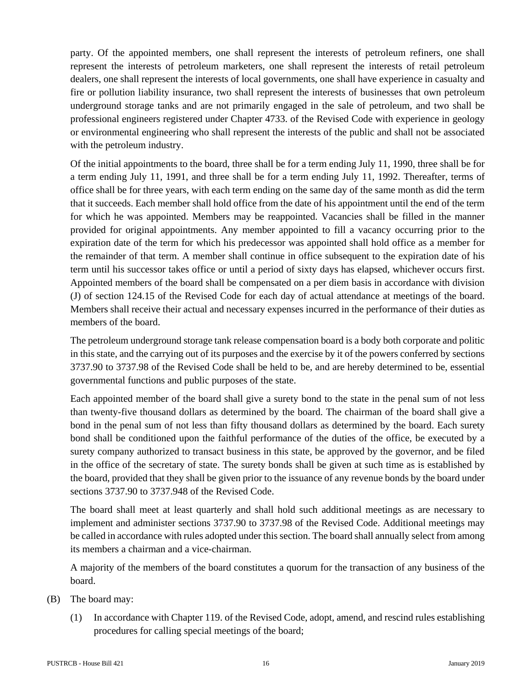party. Of the appointed members, one shall represent the interests of petroleum refiners, one shall represent the interests of petroleum marketers, one shall represent the interests of retail petroleum dealers, one shall represent the interests of local governments, one shall have experience in casualty and fire or pollution liability insurance, two shall represent the interests of businesses that own petroleum underground storage tanks and are not primarily engaged in the sale of petroleum, and two shall be professional engineers registered under Chapter 4733. of the Revised Code with experience in geology or environmental engineering who shall represent the interests of the public and shall not be associated with the petroleum industry.

Of the initial appointments to the board, three shall be for a term ending July 11, 1990, three shall be for a term ending July 11, 1991, and three shall be for a term ending July 11, 1992. Thereafter, terms of office shall be for three years, with each term ending on the same day of the same month as did the term that it succeeds. Each member shall hold office from the date of his appointment until the end of the term for which he was appointed. Members may be reappointed. Vacancies shall be filled in the manner provided for original appointments. Any member appointed to fill a vacancy occurring prior to the expiration date of the term for which his predecessor was appointed shall hold office as a member for the remainder of that term. A member shall continue in office subsequent to the expiration date of his term until his successor takes office or until a period of sixty days has elapsed, whichever occurs first. Appointed members of the board shall be compensated on a per diem basis in accordance with division (J) of section 124.15 of the Revised Code for each day of actual attendance at meetings of the board. Members shall receive their actual and necessary expenses incurred in the performance of their duties as members of the board.

The petroleum underground storage tank release compensation board is a body both corporate and politic in this state, and the carrying out of its purposes and the exercise by it of the powers conferred by sections 3737.90 to 3737.98 of the Revised Code shall be held to be, and are hereby determined to be, essential governmental functions and public purposes of the state.

Each appointed member of the board shall give a surety bond to the state in the penal sum of not less than twenty-five thousand dollars as determined by the board. The chairman of the board shall give a bond in the penal sum of not less than fifty thousand dollars as determined by the board. Each surety bond shall be conditioned upon the faithful performance of the duties of the office, be executed by a surety company authorized to transact business in this state, be approved by the governor, and be filed in the office of the secretary of state. The surety bonds shall be given at such time as is established by the board, provided that they shall be given prior to the issuance of any revenue bonds by the board under sections 3737.90 to 3737.948 of the Revised Code.

The board shall meet at least quarterly and shall hold such additional meetings as are necessary to implement and administer sections 3737.90 to 3737.98 of the Revised Code. Additional meetings may be called in accordance with rules adopted under this section. The board shall annually select from among its members a chairman and a vice-chairman.

A majority of the members of the board constitutes a quorum for the transaction of any business of the board.

- (B) The board may:
	- (1) In accordance with Chapter 119. of the Revised Code, adopt, amend, and rescind rules establishing procedures for calling special meetings of the board;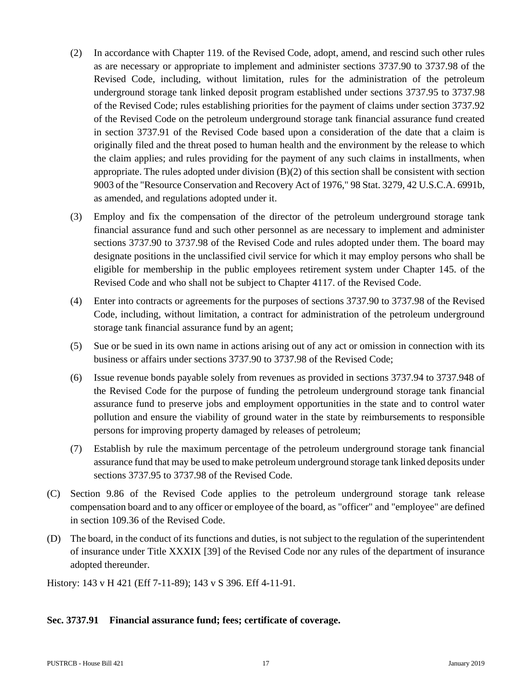- (2) In accordance with Chapter 119. of the Revised Code, adopt, amend, and rescind such other rules as are necessary or appropriate to implement and administer sections 3737.90 to 3737.98 of the Revised Code, including, without limitation, rules for the administration of the petroleum underground storage tank linked deposit program established under sections 3737.95 to 3737.98 of the Revised Code; rules establishing priorities for the payment of claims under section 3737.92 of the Revised Code on the petroleum underground storage tank financial assurance fund created in section 3737.91 of the Revised Code based upon a consideration of the date that a claim is originally filed and the threat posed to human health and the environment by the release to which the claim applies; and rules providing for the payment of any such claims in installments, when appropriate. The rules adopted under division  $(B)(2)$  of this section shall be consistent with section 9003 of the "Resource Conservation and Recovery Act of 1976," 98 Stat. 3279, 42 U.S.C.A. 6991b, as amended, and regulations adopted under it.
- (3) Employ and fix the compensation of the director of the petroleum underground storage tank financial assurance fund and such other personnel as are necessary to implement and administer sections 3737.90 to 3737.98 of the Revised Code and rules adopted under them. The board may designate positions in the unclassified civil service for which it may employ persons who shall be eligible for membership in the public employees retirement system under Chapter 145. of the Revised Code and who shall not be subject to Chapter 4117. of the Revised Code.
- (4) Enter into contracts or agreements for the purposes of sections 3737.90 to 3737.98 of the Revised Code, including, without limitation, a contract for administration of the petroleum underground storage tank financial assurance fund by an agent;
- (5) Sue or be sued in its own name in actions arising out of any act or omission in connection with its business or affairs under sections 3737.90 to 3737.98 of the Revised Code;
- (6) Issue revenue bonds payable solely from revenues as provided in sections 3737.94 to 3737.948 of the Revised Code for the purpose of funding the petroleum underground storage tank financial assurance fund to preserve jobs and employment opportunities in the state and to control water pollution and ensure the viability of ground water in the state by reimbursements to responsible persons for improving property damaged by releases of petroleum;
- (7) Establish by rule the maximum percentage of the petroleum underground storage tank financial assurance fund that may be used to make petroleum underground storage tank linked deposits under sections 3737.95 to 3737.98 of the Revised Code.
- (C) Section 9.86 of the Revised Code applies to the petroleum underground storage tank release compensation board and to any officer or employee of the board, as "officer" and "employee" are defined in section 109.36 of the Revised Code.
- (D) The board, in the conduct of its functions and duties, is not subject to the regulation of the superintendent of insurance under Title XXXIX [39] of the Revised Code nor any rules of the department of insurance adopted thereunder.

History: 143 v H 421 (Eff 7-11-89); 143 v S 396. Eff 4-11-91.

# **Sec. 3737.91 Financial assurance fund; fees; certificate of coverage.**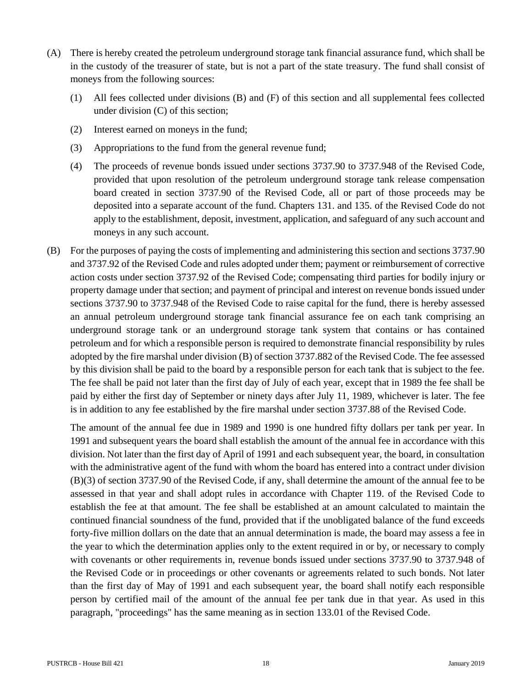- (A) There is hereby created the petroleum underground storage tank financial assurance fund, which shall be in the custody of the treasurer of state, but is not a part of the state treasury. The fund shall consist of moneys from the following sources:
	- (1) All fees collected under divisions (B) and (F) of this section and all supplemental fees collected under division (C) of this section;
	- (2) Interest earned on moneys in the fund;
	- (3) Appropriations to the fund from the general revenue fund;
	- (4) The proceeds of revenue bonds issued under sections 3737.90 to 3737.948 of the Revised Code, provided that upon resolution of the petroleum underground storage tank release compensation board created in section 3737.90 of the Revised Code, all or part of those proceeds may be deposited into a separate account of the fund. Chapters 131. and 135. of the Revised Code do not apply to the establishment, deposit, investment, application, and safeguard of any such account and moneys in any such account.
- (B) For the purposes of paying the costs of implementing and administering this section and sections 3737.90 and 3737.92 of the Revised Code and rules adopted under them; payment or reimbursement of corrective action costs under section 3737.92 of the Revised Code; compensating third parties for bodily injury or property damage under that section; and payment of principal and interest on revenue bonds issued under sections 3737.90 to 3737.948 of the Revised Code to raise capital for the fund, there is hereby assessed an annual petroleum underground storage tank financial assurance fee on each tank comprising an underground storage tank or an underground storage tank system that contains or has contained petroleum and for which a responsible person is required to demonstrate financial responsibility by rules adopted by the fire marshal under division (B) of section 3737.882 of the Revised Code. The fee assessed by this division shall be paid to the board by a responsible person for each tank that is subject to the fee. The fee shall be paid not later than the first day of July of each year, except that in 1989 the fee shall be paid by either the first day of September or ninety days after July 11, 1989, whichever is later. The fee is in addition to any fee established by the fire marshal under section 3737.88 of the Revised Code.

The amount of the annual fee due in 1989 and 1990 is one hundred fifty dollars per tank per year. In 1991 and subsequent years the board shall establish the amount of the annual fee in accordance with this division. Not later than the first day of April of 1991 and each subsequent year, the board, in consultation with the administrative agent of the fund with whom the board has entered into a contract under division (B)(3) of section 3737.90 of the Revised Code, if any, shall determine the amount of the annual fee to be assessed in that year and shall adopt rules in accordance with Chapter 119. of the Revised Code to establish the fee at that amount. The fee shall be established at an amount calculated to maintain the continued financial soundness of the fund, provided that if the unobligated balance of the fund exceeds forty-five million dollars on the date that an annual determination is made, the board may assess a fee in the year to which the determination applies only to the extent required in or by, or necessary to comply with covenants or other requirements in, revenue bonds issued under sections 3737.90 to 3737.948 of the Revised Code or in proceedings or other covenants or agreements related to such bonds. Not later than the first day of May of 1991 and each subsequent year, the board shall notify each responsible person by certified mail of the amount of the annual fee per tank due in that year. As used in this paragraph, "proceedings" has the same meaning as in section 133.01 of the Revised Code.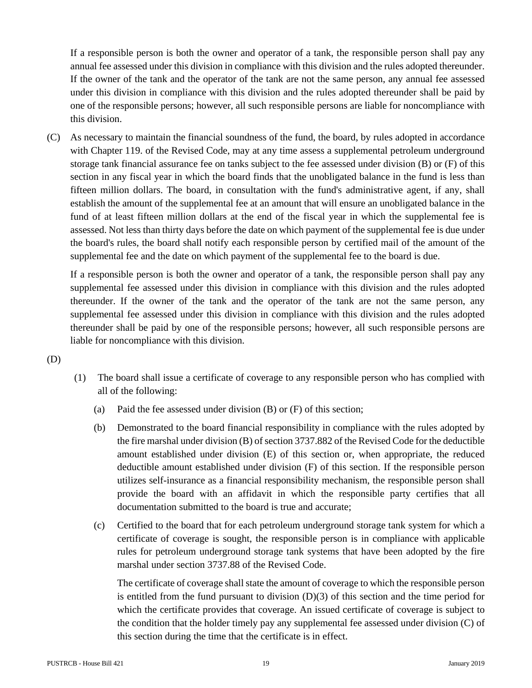If a responsible person is both the owner and operator of a tank, the responsible person shall pay any annual fee assessed under this division in compliance with this division and the rules adopted thereunder. If the owner of the tank and the operator of the tank are not the same person, any annual fee assessed under this division in compliance with this division and the rules adopted thereunder shall be paid by one of the responsible persons; however, all such responsible persons are liable for noncompliance with this division.

(C) As necessary to maintain the financial soundness of the fund, the board, by rules adopted in accordance with Chapter 119. of the Revised Code, may at any time assess a supplemental petroleum underground storage tank financial assurance fee on tanks subject to the fee assessed under division (B) or (F) of this section in any fiscal year in which the board finds that the unobligated balance in the fund is less than fifteen million dollars. The board, in consultation with the fund's administrative agent, if any, shall establish the amount of the supplemental fee at an amount that will ensure an unobligated balance in the fund of at least fifteen million dollars at the end of the fiscal year in which the supplemental fee is assessed. Not less than thirty days before the date on which payment of the supplemental fee is due under the board's rules, the board shall notify each responsible person by certified mail of the amount of the supplemental fee and the date on which payment of the supplemental fee to the board is due.

If a responsible person is both the owner and operator of a tank, the responsible person shall pay any supplemental fee assessed under this division in compliance with this division and the rules adopted thereunder. If the owner of the tank and the operator of the tank are not the same person, any supplemental fee assessed under this division in compliance with this division and the rules adopted thereunder shall be paid by one of the responsible persons; however, all such responsible persons are liable for noncompliance with this division.

(D)

- (1) The board shall issue a certificate of coverage to any responsible person who has complied with all of the following:
	- (a) Paid the fee assessed under division  $(B)$  or  $(F)$  of this section;
	- (b) Demonstrated to the board financial responsibility in compliance with the rules adopted by the fire marshal under division (B) of section 3737.882 of the Revised Code for the deductible amount established under division (E) of this section or, when appropriate, the reduced deductible amount established under division (F) of this section. If the responsible person utilizes self-insurance as a financial responsibility mechanism, the responsible person shall provide the board with an affidavit in which the responsible party certifies that all documentation submitted to the board is true and accurate;
	- (c) Certified to the board that for each petroleum underground storage tank system for which a certificate of coverage is sought, the responsible person is in compliance with applicable rules for petroleum underground storage tank systems that have been adopted by the fire marshal under section 3737.88 of the Revised Code.

The certificate of coverage shall state the amount of coverage to which the responsible person is entitled from the fund pursuant to division (D)(3) of this section and the time period for which the certificate provides that coverage. An issued certificate of coverage is subject to the condition that the holder timely pay any supplemental fee assessed under division (C) of this section during the time that the certificate is in effect.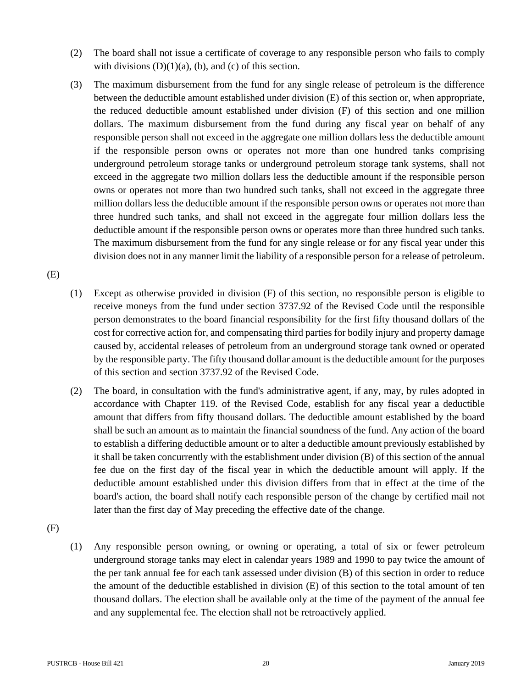- (2) The board shall not issue a certificate of coverage to any responsible person who fails to comply with divisions  $(D)(1)(a)$ ,  $(b)$ , and  $(c)$  of this section.
- (3) The maximum disbursement from the fund for any single release of petroleum is the difference between the deductible amount established under division (E) of this section or, when appropriate, the reduced deductible amount established under division (F) of this section and one million dollars. The maximum disbursement from the fund during any fiscal year on behalf of any responsible person shall not exceed in the aggregate one million dollars less the deductible amount if the responsible person owns or operates not more than one hundred tanks comprising underground petroleum storage tanks or underground petroleum storage tank systems, shall not exceed in the aggregate two million dollars less the deductible amount if the responsible person owns or operates not more than two hundred such tanks, shall not exceed in the aggregate three million dollars less the deductible amount if the responsible person owns or operates not more than three hundred such tanks, and shall not exceed in the aggregate four million dollars less the deductible amount if the responsible person owns or operates more than three hundred such tanks. The maximum disbursement from the fund for any single release or for any fiscal year under this division does not in any manner limit the liability of a responsible person for a release of petroleum.

(E)

- (1) Except as otherwise provided in division (F) of this section, no responsible person is eligible to receive moneys from the fund under section 3737.92 of the Revised Code until the responsible person demonstrates to the board financial responsibility for the first fifty thousand dollars of the cost for corrective action for, and compensating third parties for bodily injury and property damage caused by, accidental releases of petroleum from an underground storage tank owned or operated by the responsible party. The fifty thousand dollar amount is the deductible amount for the purposes of this section and section 3737.92 of the Revised Code.
- (2) The board, in consultation with the fund's administrative agent, if any, may, by rules adopted in accordance with Chapter 119. of the Revised Code, establish for any fiscal year a deductible amount that differs from fifty thousand dollars. The deductible amount established by the board shall be such an amount as to maintain the financial soundness of the fund. Any action of the board to establish a differing deductible amount or to alter a deductible amount previously established by it shall be taken concurrently with the establishment under division (B) of this section of the annual fee due on the first day of the fiscal year in which the deductible amount will apply. If the deductible amount established under this division differs from that in effect at the time of the board's action, the board shall notify each responsible person of the change by certified mail not later than the first day of May preceding the effective date of the change.

(F)

(1) Any responsible person owning, or owning or operating, a total of six or fewer petroleum underground storage tanks may elect in calendar years 1989 and 1990 to pay twice the amount of the per tank annual fee for each tank assessed under division (B) of this section in order to reduce the amount of the deductible established in division (E) of this section to the total amount of ten thousand dollars. The election shall be available only at the time of the payment of the annual fee and any supplemental fee. The election shall not be retroactively applied.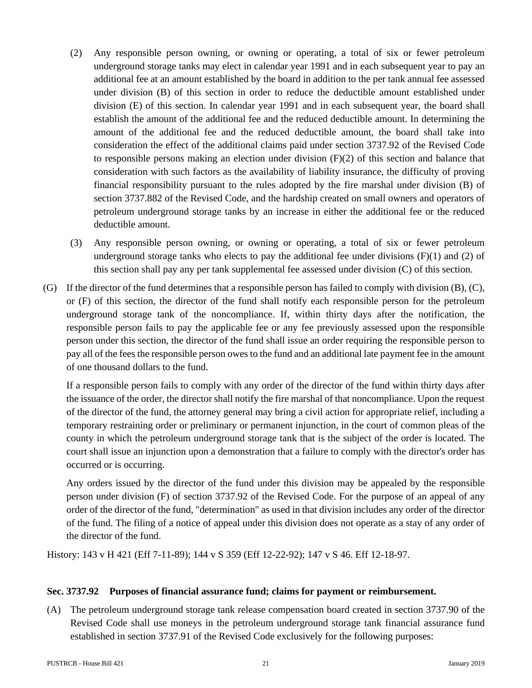- (2) Any responsible person owning, or owning or operating, a total of six or fewer petroleum underground storage tanks may elect in calendar year 1991 and in each subsequent year to pay an additional fee at an amount established by the board in addition to the per tank annual fee assessed under division (B) of this section in order to reduce the deductible amount established under division (E) of this section. In calendar year 1991 and in each subsequent year, the board shall establish the amount of the additional fee and the reduced deductible amount. In determining the amount of the additional fee and the reduced deductible amount, the board shall take into consideration the effect of the additional claims paid under section 3737.92 of the Revised Code to responsible persons making an election under division  $(F)(2)$  of this section and balance that consideration with such factors as the availability of liability insurance, the difficulty of proving financial responsibility pursuant to the rules adopted by the fire marshal under division (B) of section 3737.882 of the Revised Code, and the hardship created on small owners and operators of petroleum underground storage tanks by an increase in either the additional fee or the reduced deductible amount.
- (3) Any responsible person owning, or owning or operating, a total of six or fewer petroleum underground storage tanks who elects to pay the additional fee under divisions  $(F)(1)$  and  $(2)$  of this section shall pay any per tank supplemental fee assessed under division (C) of this section.
- (G) If the director of the fund determines that a responsible person has failed to comply with division  $(B)$ ,  $(C)$ , or (F) of this section, the director of the fund shall notify each responsible person for the petroleum underground storage tank of the noncompliance. If, within thirty days after the notification, the responsible person fails to pay the applicable fee or any fee previously assessed upon the responsible person under this section, the director of the fund shall issue an order requiring the responsible person to pay all of the fees the responsible person owes to the fund and an additional late payment fee in the amount of one thousand dollars to the fund.

If a responsible person fails to comply with any order of the director of the fund within thirty days after the issuance of the order, the director shall notify the fire marshal of that noncompliance. Upon the request of the director of the fund, the attorney general may bring a civil action for appropriate relief, including a temporary restraining order or preliminary or permanent injunction, in the court of common pleas of the county in which the petroleum underground storage tank that is the subject of the order is located. The court shall issue an injunction upon a demonstration that a failure to comply with the director's order has occurred or is occurring.

Any orders issued by the director of the fund under this division may be appealed by the responsible person under division (F) of section 3737.92 of the Revised Code. For the purpose of an appeal of any order of the director of the fund, "determination" as used in that division includes any order of the director of the fund. The filing of a notice of appeal under this division does not operate as a stay of any order of the director of the fund.

History: 143 v H 421 (Eff 7-11-89); 144 v S 359 (Eff 12-22-92); 147 v S 46. Eff 12-18-97.

#### **Sec. 3737.92 Purposes of financial assurance fund; claims for payment or reimbursement.**

(A) The petroleum underground storage tank release compensation board created in section 3737.90 of the Revised Code shall use moneys in the petroleum underground storage tank financial assurance fund established in section 3737.91 of the Revised Code exclusively for the following purposes: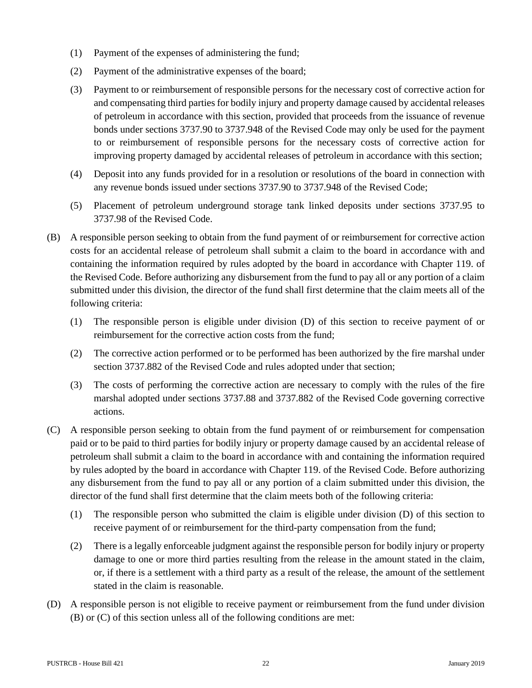- (1) Payment of the expenses of administering the fund;
- (2) Payment of the administrative expenses of the board;
- (3) Payment to or reimbursement of responsible persons for the necessary cost of corrective action for and compensating third parties for bodily injury and property damage caused by accidental releases of petroleum in accordance with this section, provided that proceeds from the issuance of revenue bonds under sections 3737.90 to 3737.948 of the Revised Code may only be used for the payment to or reimbursement of responsible persons for the necessary costs of corrective action for improving property damaged by accidental releases of petroleum in accordance with this section;
- (4) Deposit into any funds provided for in a resolution or resolutions of the board in connection with any revenue bonds issued under sections 3737.90 to 3737.948 of the Revised Code;
- (5) Placement of petroleum underground storage tank linked deposits under sections 3737.95 to 3737.98 of the Revised Code.
- (B) A responsible person seeking to obtain from the fund payment of or reimbursement for corrective action costs for an accidental release of petroleum shall submit a claim to the board in accordance with and containing the information required by rules adopted by the board in accordance with Chapter 119. of the Revised Code. Before authorizing any disbursement from the fund to pay all or any portion of a claim submitted under this division, the director of the fund shall first determine that the claim meets all of the following criteria:
	- (1) The responsible person is eligible under division (D) of this section to receive payment of or reimbursement for the corrective action costs from the fund;
	- (2) The corrective action performed or to be performed has been authorized by the fire marshal under section 3737.882 of the Revised Code and rules adopted under that section;
	- (3) The costs of performing the corrective action are necessary to comply with the rules of the fire marshal adopted under sections 3737.88 and 3737.882 of the Revised Code governing corrective actions.
- (C) A responsible person seeking to obtain from the fund payment of or reimbursement for compensation paid or to be paid to third parties for bodily injury or property damage caused by an accidental release of petroleum shall submit a claim to the board in accordance with and containing the information required by rules adopted by the board in accordance with Chapter 119. of the Revised Code. Before authorizing any disbursement from the fund to pay all or any portion of a claim submitted under this division, the director of the fund shall first determine that the claim meets both of the following criteria:
	- (1) The responsible person who submitted the claim is eligible under division (D) of this section to receive payment of or reimbursement for the third-party compensation from the fund;
	- (2) There is a legally enforceable judgment against the responsible person for bodily injury or property damage to one or more third parties resulting from the release in the amount stated in the claim, or, if there is a settlement with a third party as a result of the release, the amount of the settlement stated in the claim is reasonable.
- (D) A responsible person is not eligible to receive payment or reimbursement from the fund under division (B) or (C) of this section unless all of the following conditions are met: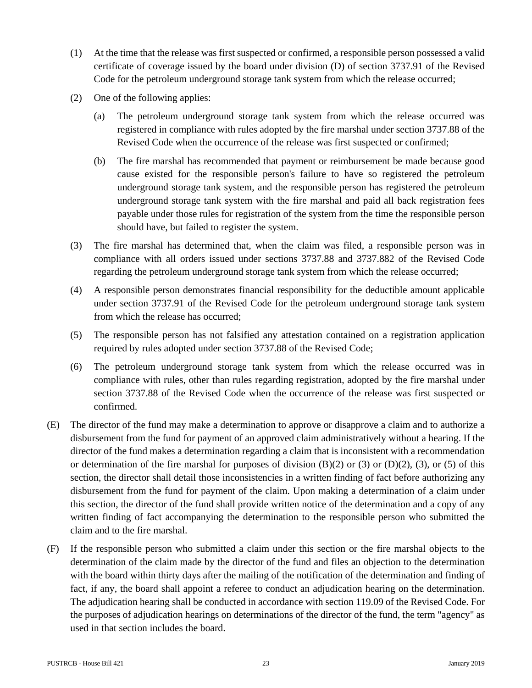- (1) At the time that the release was first suspected or confirmed, a responsible person possessed a valid certificate of coverage issued by the board under division (D) of section 3737.91 of the Revised Code for the petroleum underground storage tank system from which the release occurred;
- (2) One of the following applies:
	- (a) The petroleum underground storage tank system from which the release occurred was registered in compliance with rules adopted by the fire marshal under section 3737.88 of the Revised Code when the occurrence of the release was first suspected or confirmed;
	- (b) The fire marshal has recommended that payment or reimbursement be made because good cause existed for the responsible person's failure to have so registered the petroleum underground storage tank system, and the responsible person has registered the petroleum underground storage tank system with the fire marshal and paid all back registration fees payable under those rules for registration of the system from the time the responsible person should have, but failed to register the system.
- (3) The fire marshal has determined that, when the claim was filed, a responsible person was in compliance with all orders issued under sections 3737.88 and 3737.882 of the Revised Code regarding the petroleum underground storage tank system from which the release occurred;
- (4) A responsible person demonstrates financial responsibility for the deductible amount applicable under section 3737.91 of the Revised Code for the petroleum underground storage tank system from which the release has occurred;
- (5) The responsible person has not falsified any attestation contained on a registration application required by rules adopted under section 3737.88 of the Revised Code;
- (6) The petroleum underground storage tank system from which the release occurred was in compliance with rules, other than rules regarding registration, adopted by the fire marshal under section 3737.88 of the Revised Code when the occurrence of the release was first suspected or confirmed.
- (E) The director of the fund may make a determination to approve or disapprove a claim and to authorize a disbursement from the fund for payment of an approved claim administratively without a hearing. If the director of the fund makes a determination regarding a claim that is inconsistent with a recommendation or determination of the fire marshal for purposes of division  $(B)(2)$  or  $(3)$  or  $(D)(2)$ ,  $(3)$ , or  $(5)$  of this section, the director shall detail those inconsistencies in a written finding of fact before authorizing any disbursement from the fund for payment of the claim. Upon making a determination of a claim under this section, the director of the fund shall provide written notice of the determination and a copy of any written finding of fact accompanying the determination to the responsible person who submitted the claim and to the fire marshal.
- (F) If the responsible person who submitted a claim under this section or the fire marshal objects to the determination of the claim made by the director of the fund and files an objection to the determination with the board within thirty days after the mailing of the notification of the determination and finding of fact, if any, the board shall appoint a referee to conduct an adjudication hearing on the determination. The adjudication hearing shall be conducted in accordance with section 119.09 of the Revised Code. For the purposes of adjudication hearings on determinations of the director of the fund, the term "agency" as used in that section includes the board.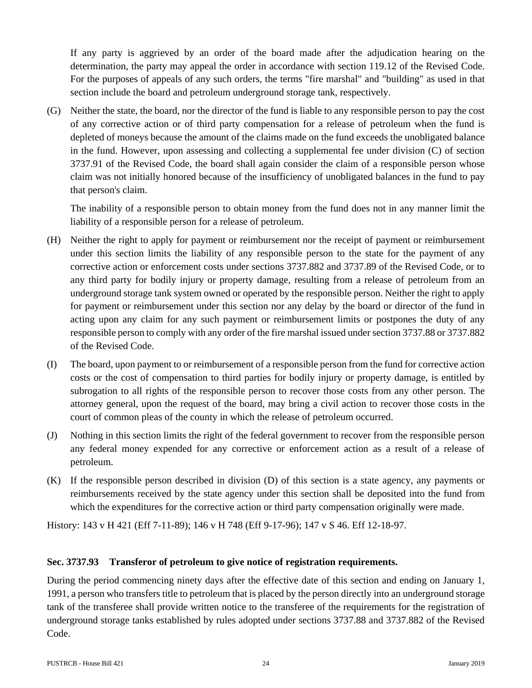If any party is aggrieved by an order of the board made after the adjudication hearing on the determination, the party may appeal the order in accordance with section 119.12 of the Revised Code. For the purposes of appeals of any such orders, the terms "fire marshal" and "building" as used in that section include the board and petroleum underground storage tank, respectively.

(G) Neither the state, the board, nor the director of the fund is liable to any responsible person to pay the cost of any corrective action or of third party compensation for a release of petroleum when the fund is depleted of moneys because the amount of the claims made on the fund exceeds the unobligated balance in the fund. However, upon assessing and collecting a supplemental fee under division (C) of section 3737.91 of the Revised Code, the board shall again consider the claim of a responsible person whose claim was not initially honored because of the insufficiency of unobligated balances in the fund to pay that person's claim.

The inability of a responsible person to obtain money from the fund does not in any manner limit the liability of a responsible person for a release of petroleum.

- (H) Neither the right to apply for payment or reimbursement nor the receipt of payment or reimbursement under this section limits the liability of any responsible person to the state for the payment of any corrective action or enforcement costs under sections 3737.882 and 3737.89 of the Revised Code, or to any third party for bodily injury or property damage, resulting from a release of petroleum from an underground storage tank system owned or operated by the responsible person. Neither the right to apply for payment or reimbursement under this section nor any delay by the board or director of the fund in acting upon any claim for any such payment or reimbursement limits or postpones the duty of any responsible person to comply with any order of the fire marshal issued under section 3737.88 or 3737.882 of the Revised Code.
- (I) The board, upon payment to or reimbursement of a responsible person from the fund for corrective action costs or the cost of compensation to third parties for bodily injury or property damage, is entitled by subrogation to all rights of the responsible person to recover those costs from any other person. The attorney general, upon the request of the board, may bring a civil action to recover those costs in the court of common pleas of the county in which the release of petroleum occurred.
- (J) Nothing in this section limits the right of the federal government to recover from the responsible person any federal money expended for any corrective or enforcement action as a result of a release of petroleum.
- (K) If the responsible person described in division (D) of this section is a state agency, any payments or reimbursements received by the state agency under this section shall be deposited into the fund from which the expenditures for the corrective action or third party compensation originally were made.

History: 143 v H 421 (Eff 7-11-89); 146 v H 748 (Eff 9-17-96); 147 v S 46. Eff 12-18-97.

# **Sec. 3737.93 Transferor of petroleum to give notice of registration requirements.**

During the period commencing ninety days after the effective date of this section and ending on January 1, 1991, a person who transfers title to petroleum that is placed by the person directly into an underground storage tank of the transferee shall provide written notice to the transferee of the requirements for the registration of underground storage tanks established by rules adopted under sections 3737.88 and 3737.882 of the Revised Code.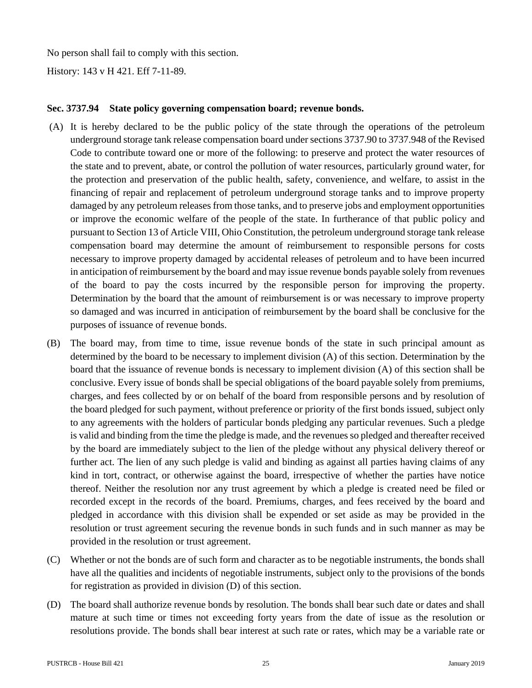No person shall fail to comply with this section.

History: 143 v H 421. Eff 7-11-89.

#### **Sec. 3737.94 State policy governing compensation board; revenue bonds.**

- (A) It is hereby declared to be the public policy of the state through the operations of the petroleum underground storage tank release compensation board under sections 3737.90 to 3737.948 of the Revised Code to contribute toward one or more of the following: to preserve and protect the water resources of the state and to prevent, abate, or control the pollution of water resources, particularly ground water, for the protection and preservation of the public health, safety, convenience, and welfare, to assist in the financing of repair and replacement of petroleum underground storage tanks and to improve property damaged by any petroleum releases from those tanks, and to preserve jobs and employment opportunities or improve the economic welfare of the people of the state. In furtherance of that public policy and pursuant to Section 13 of Article VIII, Ohio Constitution, the petroleum underground storage tank release compensation board may determine the amount of reimbursement to responsible persons for costs necessary to improve property damaged by accidental releases of petroleum and to have been incurred in anticipation of reimbursement by the board and may issue revenue bonds payable solely from revenues of the board to pay the costs incurred by the responsible person for improving the property. Determination by the board that the amount of reimbursement is or was necessary to improve property so damaged and was incurred in anticipation of reimbursement by the board shall be conclusive for the purposes of issuance of revenue bonds.
- (B) The board may, from time to time, issue revenue bonds of the state in such principal amount as determined by the board to be necessary to implement division (A) of this section. Determination by the board that the issuance of revenue bonds is necessary to implement division (A) of this section shall be conclusive. Every issue of bonds shall be special obligations of the board payable solely from premiums, charges, and fees collected by or on behalf of the board from responsible persons and by resolution of the board pledged for such payment, without preference or priority of the first bonds issued, subject only to any agreements with the holders of particular bonds pledging any particular revenues. Such a pledge is valid and binding from the time the pledge is made, and the revenues so pledged and thereafter received by the board are immediately subject to the lien of the pledge without any physical delivery thereof or further act. The lien of any such pledge is valid and binding as against all parties having claims of any kind in tort, contract, or otherwise against the board, irrespective of whether the parties have notice thereof. Neither the resolution nor any trust agreement by which a pledge is created need be filed or recorded except in the records of the board. Premiums, charges, and fees received by the board and pledged in accordance with this division shall be expended or set aside as may be provided in the resolution or trust agreement securing the revenue bonds in such funds and in such manner as may be provided in the resolution or trust agreement.
- (C) Whether or not the bonds are of such form and character as to be negotiable instruments, the bonds shall have all the qualities and incidents of negotiable instruments, subject only to the provisions of the bonds for registration as provided in division (D) of this section.
- (D) The board shall authorize revenue bonds by resolution. The bonds shall bear such date or dates and shall mature at such time or times not exceeding forty years from the date of issue as the resolution or resolutions provide. The bonds shall bear interest at such rate or rates, which may be a variable rate or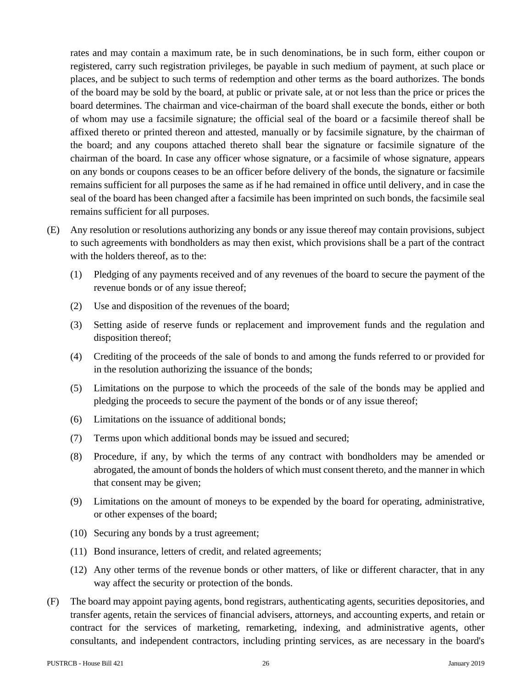rates and may contain a maximum rate, be in such denominations, be in such form, either coupon or registered, carry such registration privileges, be payable in such medium of payment, at such place or places, and be subject to such terms of redemption and other terms as the board authorizes. The bonds of the board may be sold by the board, at public or private sale, at or not less than the price or prices the board determines. The chairman and vice-chairman of the board shall execute the bonds, either or both of whom may use a facsimile signature; the official seal of the board or a facsimile thereof shall be affixed thereto or printed thereon and attested, manually or by facsimile signature, by the chairman of the board; and any coupons attached thereto shall bear the signature or facsimile signature of the chairman of the board. In case any officer whose signature, or a facsimile of whose signature, appears on any bonds or coupons ceases to be an officer before delivery of the bonds, the signature or facsimile remains sufficient for all purposes the same as if he had remained in office until delivery, and in case the seal of the board has been changed after a facsimile has been imprinted on such bonds, the facsimile seal remains sufficient for all purposes.

- (E) Any resolution or resolutions authorizing any bonds or any issue thereof may contain provisions, subject to such agreements with bondholders as may then exist, which provisions shall be a part of the contract with the holders thereof, as to the:
	- (1) Pledging of any payments received and of any revenues of the board to secure the payment of the revenue bonds or of any issue thereof;
	- (2) Use and disposition of the revenues of the board;
	- (3) Setting aside of reserve funds or replacement and improvement funds and the regulation and disposition thereof;
	- (4) Crediting of the proceeds of the sale of bonds to and among the funds referred to or provided for in the resolution authorizing the issuance of the bonds;
	- (5) Limitations on the purpose to which the proceeds of the sale of the bonds may be applied and pledging the proceeds to secure the payment of the bonds or of any issue thereof;
	- (6) Limitations on the issuance of additional bonds;
	- (7) Terms upon which additional bonds may be issued and secured;
	- (8) Procedure, if any, by which the terms of any contract with bondholders may be amended or abrogated, the amount of bonds the holders of which must consent thereto, and the manner in which that consent may be given;
	- (9) Limitations on the amount of moneys to be expended by the board for operating, administrative, or other expenses of the board;
	- (10) Securing any bonds by a trust agreement;
	- (11) Bond insurance, letters of credit, and related agreements;
	- (12) Any other terms of the revenue bonds or other matters, of like or different character, that in any way affect the security or protection of the bonds.
- (F) The board may appoint paying agents, bond registrars, authenticating agents, securities depositories, and transfer agents, retain the services of financial advisers, attorneys, and accounting experts, and retain or contract for the services of marketing, remarketing, indexing, and administrative agents, other consultants, and independent contractors, including printing services, as are necessary in the board's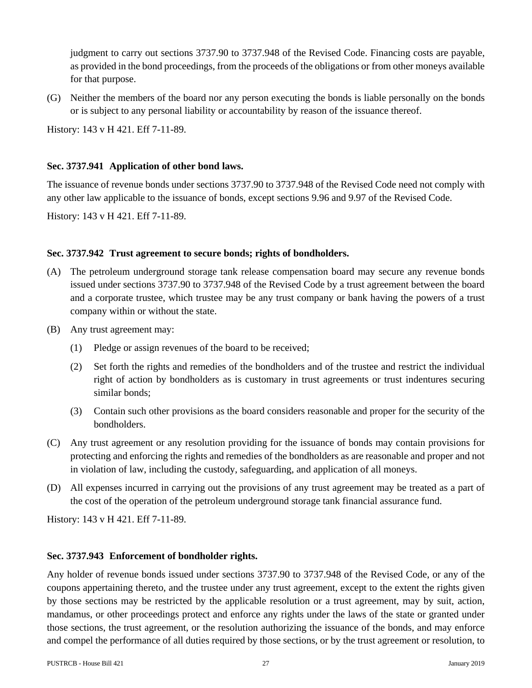judgment to carry out sections 3737.90 to 3737.948 of the Revised Code. Financing costs are payable, as provided in the bond proceedings, from the proceeds of the obligations or from other moneys available for that purpose.

(G) Neither the members of the board nor any person executing the bonds is liable personally on the bonds or is subject to any personal liability or accountability by reason of the issuance thereof.

History: 143 v H 421. Eff 7-11-89.

#### **Sec. 3737.941 Application of other bond laws.**

The issuance of revenue bonds under sections 3737.90 to 3737.948 of the Revised Code need not comply with any other law applicable to the issuance of bonds, except sections 9.96 and 9.97 of the Revised Code.

History: 143 v H 421. Eff 7-11-89.

#### **Sec. 3737.942 Trust agreement to secure bonds; rights of bondholders.**

- (A) The petroleum underground storage tank release compensation board may secure any revenue bonds issued under sections 3737.90 to 3737.948 of the Revised Code by a trust agreement between the board and a corporate trustee, which trustee may be any trust company or bank having the powers of a trust company within or without the state.
- (B) Any trust agreement may:
	- (1) Pledge or assign revenues of the board to be received;
	- (2) Set forth the rights and remedies of the bondholders and of the trustee and restrict the individual right of action by bondholders as is customary in trust agreements or trust indentures securing similar bonds;
	- (3) Contain such other provisions as the board considers reasonable and proper for the security of the bondholders.
- (C) Any trust agreement or any resolution providing for the issuance of bonds may contain provisions for protecting and enforcing the rights and remedies of the bondholders as are reasonable and proper and not in violation of law, including the custody, safeguarding, and application of all moneys.
- (D) All expenses incurred in carrying out the provisions of any trust agreement may be treated as a part of the cost of the operation of the petroleum underground storage tank financial assurance fund.

History: 143 v H 421. Eff 7-11-89.

# **Sec. 3737.943 Enforcement of bondholder rights.**

Any holder of revenue bonds issued under sections 3737.90 to 3737.948 of the Revised Code, or any of the coupons appertaining thereto, and the trustee under any trust agreement, except to the extent the rights given by those sections may be restricted by the applicable resolution or a trust agreement, may by suit, action, mandamus, or other proceedings protect and enforce any rights under the laws of the state or granted under those sections, the trust agreement, or the resolution authorizing the issuance of the bonds, and may enforce and compel the performance of all duties required by those sections, or by the trust agreement or resolution, to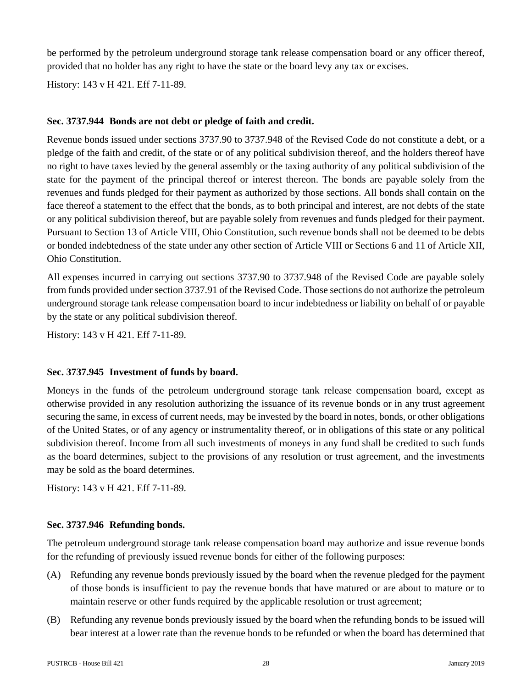be performed by the petroleum underground storage tank release compensation board or any officer thereof, provided that no holder has any right to have the state or the board levy any tax or excises.

History: 143 v H 421. Eff 7-11-89.

# **Sec. 3737.944 Bonds are not debt or pledge of faith and credit.**

Revenue bonds issued under sections 3737.90 to 3737.948 of the Revised Code do not constitute a debt, or a pledge of the faith and credit, of the state or of any political subdivision thereof, and the holders thereof have no right to have taxes levied by the general assembly or the taxing authority of any political subdivision of the state for the payment of the principal thereof or interest thereon. The bonds are payable solely from the revenues and funds pledged for their payment as authorized by those sections. All bonds shall contain on the face thereof a statement to the effect that the bonds, as to both principal and interest, are not debts of the state or any political subdivision thereof, but are payable solely from revenues and funds pledged for their payment. Pursuant to Section 13 of Article VIII, Ohio Constitution, such revenue bonds shall not be deemed to be debts or bonded indebtedness of the state under any other section of Article VIII or Sections 6 and 11 of Article XII, Ohio Constitution.

All expenses incurred in carrying out sections 3737.90 to 3737.948 of the Revised Code are payable solely from funds provided under section 3737.91 of the Revised Code. Those sections do not authorize the petroleum underground storage tank release compensation board to incur indebtedness or liability on behalf of or payable by the state or any political subdivision thereof.

History: 143 v H 421. Eff 7-11-89.

# **Sec. 3737.945 Investment of funds by board.**

Moneys in the funds of the petroleum underground storage tank release compensation board, except as otherwise provided in any resolution authorizing the issuance of its revenue bonds or in any trust agreement securing the same, in excess of current needs, may be invested by the board in notes, bonds, or other obligations of the United States, or of any agency or instrumentality thereof, or in obligations of this state or any political subdivision thereof. Income from all such investments of moneys in any fund shall be credited to such funds as the board determines, subject to the provisions of any resolution or trust agreement, and the investments may be sold as the board determines.

History: 143 v H 421. Eff 7-11-89.

# **Sec. 3737.946 Refunding bonds.**

The petroleum underground storage tank release compensation board may authorize and issue revenue bonds for the refunding of previously issued revenue bonds for either of the following purposes:

- (A) Refunding any revenue bonds previously issued by the board when the revenue pledged for the payment of those bonds is insufficient to pay the revenue bonds that have matured or are about to mature or to maintain reserve or other funds required by the applicable resolution or trust agreement;
- (B) Refunding any revenue bonds previously issued by the board when the refunding bonds to be issued will bear interest at a lower rate than the revenue bonds to be refunded or when the board has determined that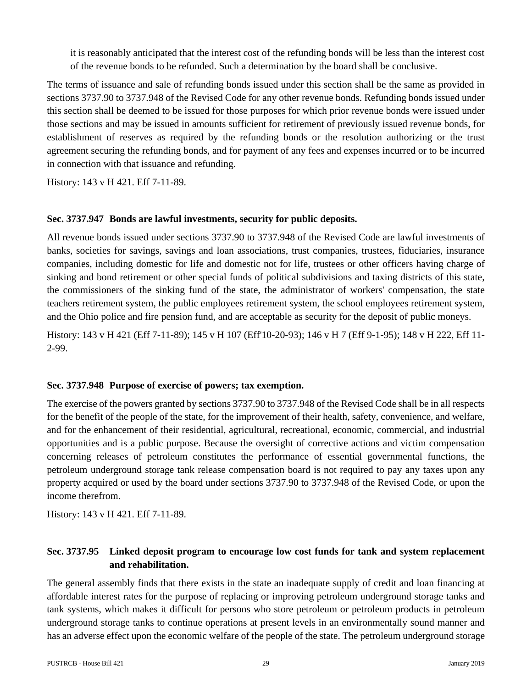it is reasonably anticipated that the interest cost of the refunding bonds will be less than the interest cost of the revenue bonds to be refunded. Such a determination by the board shall be conclusive.

The terms of issuance and sale of refunding bonds issued under this section shall be the same as provided in sections 3737.90 to 3737.948 of the Revised Code for any other revenue bonds. Refunding bonds issued under this section shall be deemed to be issued for those purposes for which prior revenue bonds were issued under those sections and may be issued in amounts sufficient for retirement of previously issued revenue bonds, for establishment of reserves as required by the refunding bonds or the resolution authorizing or the trust agreement securing the refunding bonds, and for payment of any fees and expenses incurred or to be incurred in connection with that issuance and refunding.

History: 143 v H 421. Eff 7-11-89.

# **Sec. 3737.947 Bonds are lawful investments, security for public deposits.**

All revenue bonds issued under sections 3737.90 to 3737.948 of the Revised Code are lawful investments of banks, societies for savings, savings and loan associations, trust companies, trustees, fiduciaries, insurance companies, including domestic for life and domestic not for life, trustees or other officers having charge of sinking and bond retirement or other special funds of political subdivisions and taxing districts of this state, the commissioners of the sinking fund of the state, the administrator of workers' compensation, the state teachers retirement system, the public employees retirement system, the school employees retirement system, and the Ohio police and fire pension fund, and are acceptable as security for the deposit of public moneys.

History: 143 v H 421 (Eff 7-11-89); 145 v H 107 (Eff'10-20-93); 146 v H 7 (Eff 9-1-95); 148 v H 222, Eff 11- 2-99.

# **Sec. 3737.948 Purpose of exercise of powers; tax exemption.**

The exercise of the powers granted by sections 3737.90 to 3737.948 of the Revised Code shall be in all respects for the benefit of the people of the state, for the improvement of their health, safety, convenience, and welfare, and for the enhancement of their residential, agricultural, recreational, economic, commercial, and industrial opportunities and is a public purpose. Because the oversight of corrective actions and victim compensation concerning releases of petroleum constitutes the performance of essential governmental functions, the petroleum underground storage tank release compensation board is not required to pay any taxes upon any property acquired or used by the board under sections 3737.90 to 3737.948 of the Revised Code, or upon the income therefrom.

History: 143 v H 421. Eff 7-11-89.

# **Sec. 3737.95 Linked deposit program to encourage low cost funds for tank and system replacement and rehabilitation.**

The general assembly finds that there exists in the state an inadequate supply of credit and loan financing at affordable interest rates for the purpose of replacing or improving petroleum underground storage tanks and tank systems, which makes it difficult for persons who store petroleum or petroleum products in petroleum underground storage tanks to continue operations at present levels in an environmentally sound manner and has an adverse effect upon the economic welfare of the people of the state. The petroleum underground storage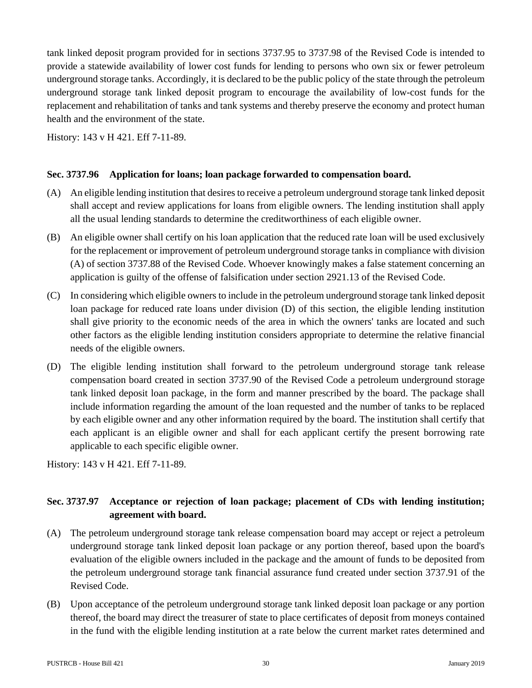tank linked deposit program provided for in sections 3737.95 to 3737.98 of the Revised Code is intended to provide a statewide availability of lower cost funds for lending to persons who own six or fewer petroleum underground storage tanks. Accordingly, it is declared to be the public policy of the state through the petroleum underground storage tank linked deposit program to encourage the availability of low-cost funds for the replacement and rehabilitation of tanks and tank systems and thereby preserve the economy and protect human health and the environment of the state.

History: 143 v H 421. Eff 7-11-89.

#### **Sec. 3737.96 Application for loans; loan package forwarded to compensation board.**

- (A) An eligible lending institution that desires to receive a petroleum underground storage tank linked deposit shall accept and review applications for loans from eligible owners. The lending institution shall apply all the usual lending standards to determine the creditworthiness of each eligible owner.
- (B) An eligible owner shall certify on his loan application that the reduced rate loan will be used exclusively for the replacement or improvement of petroleum underground storage tanks in compliance with division (A) of section 3737.88 of the Revised Code. Whoever knowingly makes a false statement concerning an application is guilty of the offense of falsification under section 2921.13 of the Revised Code.
- (C) In considering which eligible owners to include in the petroleum underground storage tank linked deposit loan package for reduced rate loans under division (D) of this section, the eligible lending institution shall give priority to the economic needs of the area in which the owners' tanks are located and such other factors as the eligible lending institution considers appropriate to determine the relative financial needs of the eligible owners.
- (D) The eligible lending institution shall forward to the petroleum underground storage tank release compensation board created in section 3737.90 of the Revised Code a petroleum underground storage tank linked deposit loan package, in the form and manner prescribed by the board. The package shall include information regarding the amount of the loan requested and the number of tanks to be replaced by each eligible owner and any other information required by the board. The institution shall certify that each applicant is an eligible owner and shall for each applicant certify the present borrowing rate applicable to each specific eligible owner.

History: 143 v H 421. Eff 7-11-89.

# **Sec. 3737.97 Acceptance or rejection of loan package; placement of CDs with lending institution; agreement with board.**

- (A) The petroleum underground storage tank release compensation board may accept or reject a petroleum underground storage tank linked deposit loan package or any portion thereof, based upon the board's evaluation of the eligible owners included in the package and the amount of funds to be deposited from the petroleum underground storage tank financial assurance fund created under section 3737.91 of the Revised Code.
- (B) Upon acceptance of the petroleum underground storage tank linked deposit loan package or any portion thereof, the board may direct the treasurer of state to place certificates of deposit from moneys contained in the fund with the eligible lending institution at a rate below the current market rates determined and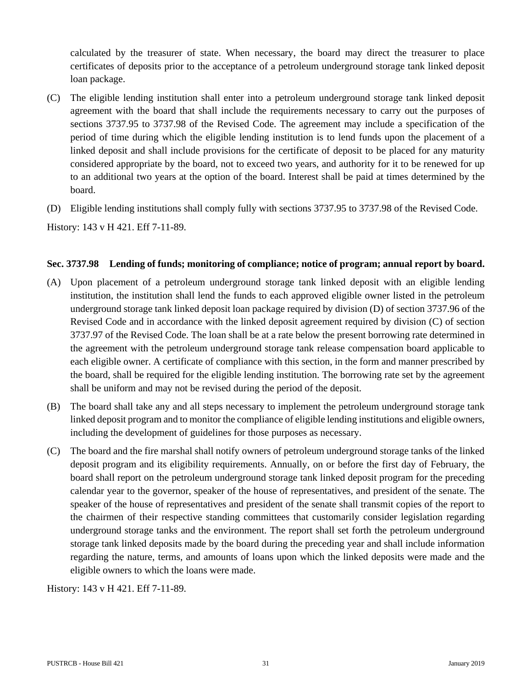calculated by the treasurer of state. When necessary, the board may direct the treasurer to place certificates of deposits prior to the acceptance of a petroleum underground storage tank linked deposit loan package.

- (C) The eligible lending institution shall enter into a petroleum underground storage tank linked deposit agreement with the board that shall include the requirements necessary to carry out the purposes of sections 3737.95 to 3737.98 of the Revised Code. The agreement may include a specification of the period of time during which the eligible lending institution is to lend funds upon the placement of a linked deposit and shall include provisions for the certificate of deposit to be placed for any maturity considered appropriate by the board, not to exceed two years, and authority for it to be renewed for up to an additional two years at the option of the board. Interest shall be paid at times determined by the board.
- (D) Eligible lending institutions shall comply fully with sections 3737.95 to 3737.98 of the Revised Code.

History: 143 v H 421. Eff 7-11-89.

#### **Sec. 3737.98 Lending of funds; monitoring of compliance; notice of program; annual report by board.**

- (A) Upon placement of a petroleum underground storage tank linked deposit with an eligible lending institution, the institution shall lend the funds to each approved eligible owner listed in the petroleum underground storage tank linked deposit loan package required by division (D) of section 3737.96 of the Revised Code and in accordance with the linked deposit agreement required by division (C) of section 3737.97 of the Revised Code. The loan shall be at a rate below the present borrowing rate determined in the agreement with the petroleum underground storage tank release compensation board applicable to each eligible owner. A certificate of compliance with this section, in the form and manner prescribed by the board, shall be required for the eligible lending institution. The borrowing rate set by the agreement shall be uniform and may not be revised during the period of the deposit.
- (B) The board shall take any and all steps necessary to implement the petroleum underground storage tank linked deposit program and to monitor the compliance of eligible lending institutions and eligible owners, including the development of guidelines for those purposes as necessary.
- (C) The board and the fire marshal shall notify owners of petroleum underground storage tanks of the linked deposit program and its eligibility requirements. Annually, on or before the first day of February, the board shall report on the petroleum underground storage tank linked deposit program for the preceding calendar year to the governor, speaker of the house of representatives, and president of the senate. The speaker of the house of representatives and president of the senate shall transmit copies of the report to the chairmen of their respective standing committees that customarily consider legislation regarding underground storage tanks and the environment. The report shall set forth the petroleum underground storage tank linked deposits made by the board during the preceding year and shall include information regarding the nature, terms, and amounts of loans upon which the linked deposits were made and the eligible owners to which the loans were made.

History: 143 v H 421. Eff 7-11-89.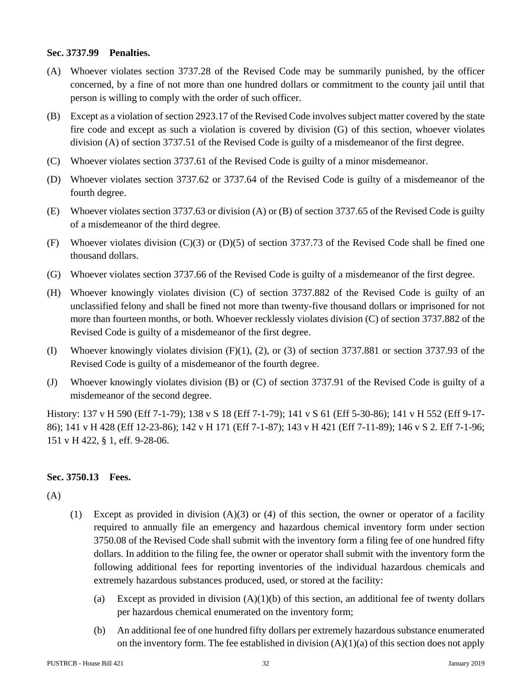#### **Sec. 3737.99 Penalties.**

- (A) Whoever violates section 3737.28 of the Revised Code may be summarily punished, by the officer concerned, by a fine of not more than one hundred dollars or commitment to the county jail until that person is willing to comply with the order of such officer.
- (B) Except as a violation of section 2923.17 of the Revised Code involves subject matter covered by the state fire code and except as such a violation is covered by division (G) of this section, whoever violates division (A) of section 3737.51 of the Revised Code is guilty of a misdemeanor of the first degree.
- (C) Whoever violates section 3737.61 of the Revised Code is guilty of a minor misdemeanor.
- (D) Whoever violates section 3737.62 or 3737.64 of the Revised Code is guilty of a misdemeanor of the fourth degree.
- (E) Whoever violates section 3737.63 or division (A) or (B) of section 3737.65 of the Revised Code is guilty of a misdemeanor of the third degree.
- (F) Whoever violates division (C)(3) or (D)(5) of section 3737.73 of the Revised Code shall be fined one thousand dollars.
- (G) Whoever violates section 3737.66 of the Revised Code is guilty of a misdemeanor of the first degree.
- (H) Whoever knowingly violates division (C) of section 3737.882 of the Revised Code is guilty of an unclassified felony and shall be fined not more than twenty-five thousand dollars or imprisoned for not more than fourteen months, or both. Whoever recklessly violates division (C) of section 3737.882 of the Revised Code is guilty of a misdemeanor of the first degree.
- (I) Whoever knowingly violates division (F)(1), (2), or (3) of section 3737.881 or section 3737.93 of the Revised Code is guilty of a misdemeanor of the fourth degree.
- (J) Whoever knowingly violates division (B) or (C) of section 3737.91 of the Revised Code is guilty of a misdemeanor of the second degree.

History: 137 v H 590 (Eff 7-1-79); 138 v S 18 (Eff 7-1-79); 141 v S 61 (Eff 5-30-86); 141 v H 552 (Eff 9-17- 86); 141 v H 428 (Eff 12-23-86); 142 v H 171 (Eff 7-1-87); 143 v H 421 (Eff 7-11-89); 146 v S 2. Eff 7-1-96; 151 v H 422, § 1, eff. 9-28-06.

# **Sec. 3750.13 Fees.**

(A)

- (1) Except as provided in division (A)(3) or (4) of this section, the owner or operator of a facility required to annually file an emergency and hazardous chemical inventory form under section 3750.08 of the Revised Code shall submit with the inventory form a filing fee of one hundred fifty dollars. In addition to the filing fee, the owner or operator shall submit with the inventory form the following additional fees for reporting inventories of the individual hazardous chemicals and extremely hazardous substances produced, used, or stored at the facility:
	- (a) Except as provided in division  $(A)(1)(b)$  of this section, an additional fee of twenty dollars per hazardous chemical enumerated on the inventory form;
	- (b) An additional fee of one hundred fifty dollars per extremely hazardous substance enumerated on the inventory form. The fee established in division  $(A)(1)(a)$  of this section does not apply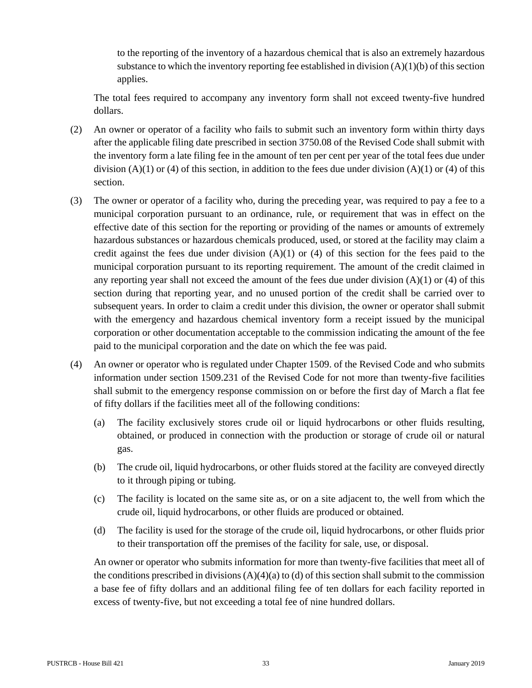to the reporting of the inventory of a hazardous chemical that is also an extremely hazardous substance to which the inventory reporting fee established in division  $(A)(1)(b)$  of this section applies.

The total fees required to accompany any inventory form shall not exceed twenty-five hundred dollars.

- (2) An owner or operator of a facility who fails to submit such an inventory form within thirty days after the applicable filing date prescribed in section 3750.08 of the Revised Code shall submit with the inventory form a late filing fee in the amount of ten per cent per year of the total fees due under division  $(A)(1)$  or  $(A)$  of this section, in addition to the fees due under division  $(A)(1)$  or  $(A)$  of this section.
- (3) The owner or operator of a facility who, during the preceding year, was required to pay a fee to a municipal corporation pursuant to an ordinance, rule, or requirement that was in effect on the effective date of this section for the reporting or providing of the names or amounts of extremely hazardous substances or hazardous chemicals produced, used, or stored at the facility may claim a credit against the fees due under division  $(A)(1)$  or  $(4)$  of this section for the fees paid to the municipal corporation pursuant to its reporting requirement. The amount of the credit claimed in any reporting year shall not exceed the amount of the fees due under division  $(A)(1)$  or  $(4)$  of this section during that reporting year, and no unused portion of the credit shall be carried over to subsequent years. In order to claim a credit under this division, the owner or operator shall submit with the emergency and hazardous chemical inventory form a receipt issued by the municipal corporation or other documentation acceptable to the commission indicating the amount of the fee paid to the municipal corporation and the date on which the fee was paid.
- (4) An owner or operator who is regulated under Chapter 1509. of the Revised Code and who submits information under section 1509.231 of the Revised Code for not more than twenty-five facilities shall submit to the emergency response commission on or before the first day of March a flat fee of fifty dollars if the facilities meet all of the following conditions:
	- (a) The facility exclusively stores crude oil or liquid hydrocarbons or other fluids resulting, obtained, or produced in connection with the production or storage of crude oil or natural gas.
	- (b) The crude oil, liquid hydrocarbons, or other fluids stored at the facility are conveyed directly to it through piping or tubing.
	- (c) The facility is located on the same site as, or on a site adjacent to, the well from which the crude oil, liquid hydrocarbons, or other fluids are produced or obtained.
	- (d) The facility is used for the storage of the crude oil, liquid hydrocarbons, or other fluids prior to their transportation off the premises of the facility for sale, use, or disposal.

An owner or operator who submits information for more than twenty-five facilities that meet all of the conditions prescribed in divisions  $(A)(4)(a)$  to  $(d)$  of this section shall submit to the commission a base fee of fifty dollars and an additional filing fee of ten dollars for each facility reported in excess of twenty-five, but not exceeding a total fee of nine hundred dollars.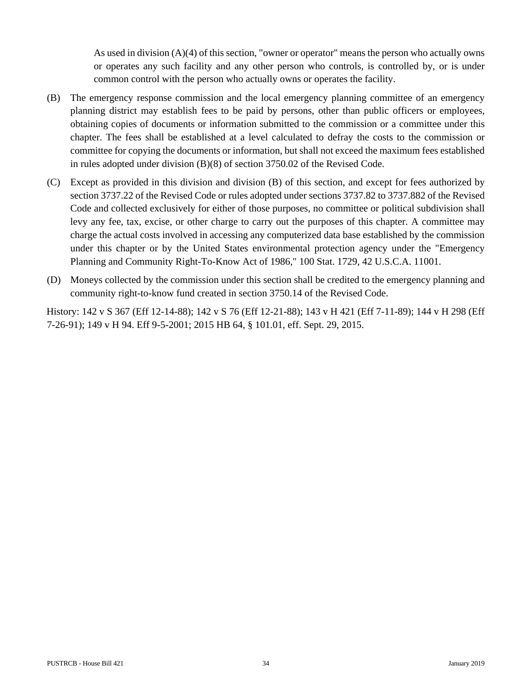As used in division (A)(4) of this section, "owner or operator" means the person who actually owns or operates any such facility and any other person who controls, is controlled by, or is under common control with the person who actually owns or operates the facility.

- (B) The emergency response commission and the local emergency planning committee of an emergency planning district may establish fees to be paid by persons, other than public officers or employees, obtaining copies of documents or information submitted to the commission or a committee under this chapter. The fees shall be established at a level calculated to defray the costs to the commission or committee for copying the documents or information, but shall not exceed the maximum fees established in rules adopted under division (B)(8) of section 3750.02 of the Revised Code.
- (C) Except as provided in this division and division (B) of this section, and except for fees authorized by section 3737.22 of the Revised Code or rules adopted under sections 3737.82 to 3737.882 of the Revised Code and collected exclusively for either of those purposes, no committee or political subdivision shall levy any fee, tax, excise, or other charge to carry out the purposes of this chapter. A committee may charge the actual costs involved in accessing any computerized data base established by the commission under this chapter or by the United States environmental protection agency under the "Emergency Planning and Community Right-To-Know Act of 1986," 100 Stat. 1729, 42 U.S.C.A. 11001.
- (D) Moneys collected by the commission under this section shall be credited to the emergency planning and community right-to-know fund created in section 3750.14 of the Revised Code.

History: 142 v S 367 (Eff 12-14-88); 142 v S 76 (Eff 12-21-88); 143 v H 421 (Eff 7-11-89); 144 v H 298 (Eff 7-26-91); 149 v H 94. Eff 9-5-2001; 2015 HB 64, § 101.01, eff. Sept. 29, 2015.